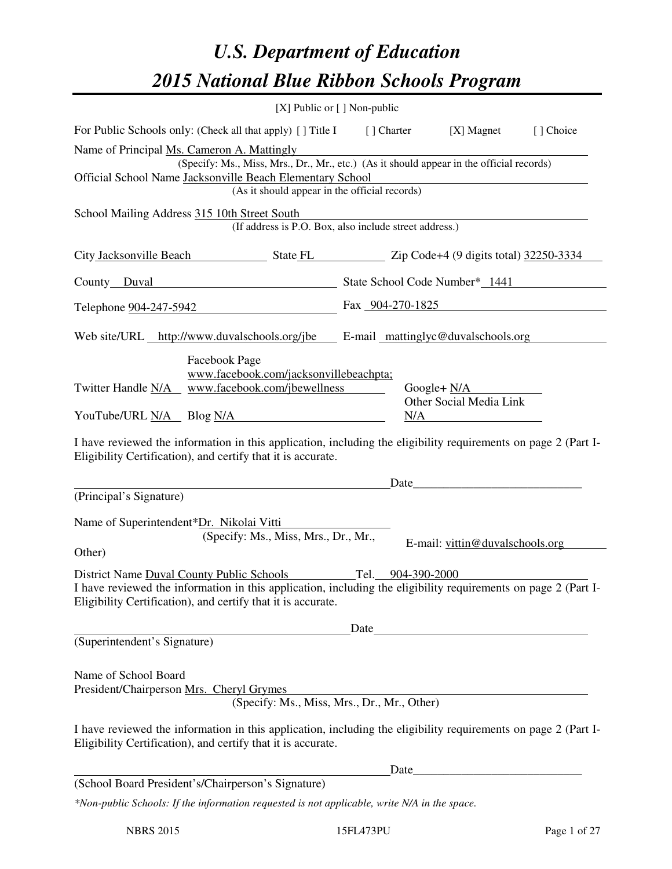# *U.S. Department of Education 2015 National Blue Ribbon Schools Program*

|                                                                                                                                                                                                                                                                                                   | [X] Public or [] Non-public |  |                                                                                                                                                                                                                               |           |  |
|---------------------------------------------------------------------------------------------------------------------------------------------------------------------------------------------------------------------------------------------------------------------------------------------------|-----------------------------|--|-------------------------------------------------------------------------------------------------------------------------------------------------------------------------------------------------------------------------------|-----------|--|
| For Public Schools only: (Check all that apply) [ ] Title I [ ] Charter                                                                                                                                                                                                                           |                             |  | [X] Magnet                                                                                                                                                                                                                    | [] Choice |  |
| Name of Principal Ms. Cameron A. Mattingly<br>(Specify: Ms., Miss, Mrs., Dr., Mr., etc.) (As it should appear in the official records)<br>Official School Name Jacksonville Beach Elementary School<br>(As it should appear in the official records)                                              |                             |  |                                                                                                                                                                                                                               |           |  |
| School Mailing Address 315 10th Street South<br>(If address is P.O. Box, also include street address.)                                                                                                                                                                                            |                             |  |                                                                                                                                                                                                                               |           |  |
| City Jacksonville Beach State FL Zip Code+4 (9 digits total) 32250-3334                                                                                                                                                                                                                           |                             |  |                                                                                                                                                                                                                               |           |  |
| County Duval County Duval State School Code Number* 1441                                                                                                                                                                                                                                          |                             |  |                                                                                                                                                                                                                               |           |  |
| Telephone 904-247-5942                                                                                                                                                                                                                                                                            |                             |  | Fax $904-270-1825$                                                                                                                                                                                                            |           |  |
| Web site/URL http://www.duvalschools.org/jbe E-mail mattinglyc@duvalschools.org                                                                                                                                                                                                                   |                             |  |                                                                                                                                                                                                                               |           |  |
| Facebook Page<br>www.facebook.com/jacksonvillebeachpta;<br>Twitter Handle N/A www.facebook.com/jbewellness                                                                                                                                                                                        |                             |  | Google+ $N/A$<br>Other Social Media Link                                                                                                                                                                                      |           |  |
| YouTube/URL N/A Blog N/A<br>N/A<br>I have reviewed the information in this application, including the eligibility requirements on page 2 (Part I-<br>Eligibility Certification), and certify that it is accurate.                                                                                 |                             |  |                                                                                                                                                                                                                               |           |  |
|                                                                                                                                                                                                                                                                                                   |                             |  | Date                                                                                                                                                                                                                          |           |  |
| (Principal's Signature)                                                                                                                                                                                                                                                                           |                             |  |                                                                                                                                                                                                                               |           |  |
| Name of Superintendent*Dr. Nikolai Vitti<br>(Specify: Ms., Miss, Mrs., Dr., Mr.,<br>Other)                                                                                                                                                                                                        |                             |  | E-mail: vittin@duvalschools.org                                                                                                                                                                                               |           |  |
| Tel. 904-390-2000<br>District Name Duval County Public Schools<br>I have reviewed the information in this application, including the eligibility requirements on page 2 (Part I-<br>Eligibility Certification), and certify that it is accurate.                                                  |                             |  |                                                                                                                                                                                                                               |           |  |
| Date<br>(Superintendent's Signature)                                                                                                                                                                                                                                                              |                             |  |                                                                                                                                                                                                                               |           |  |
| Name of School Board<br>President/Chairperson Mrs. Cheryl Grymes<br>(Specify: Ms., Miss, Mrs., Dr., Mr., Other)<br>I have reviewed the information in this application, including the eligibility requirements on page 2 (Part I-<br>Eligibility Certification), and certify that it is accurate. |                             |  |                                                                                                                                                                                                                               |           |  |
| (School Board President's/Chairperson's Signature)                                                                                                                                                                                                                                                |                             |  | Date experience and the same state of the same state of the same state of the same state of the same state of the same state of the same state of the same state of the same state of the same state of the same state of the |           |  |
| *Non-public Schools: If the information requested is not applicable, write N/A in the space.                                                                                                                                                                                                      |                             |  |                                                                                                                                                                                                                               |           |  |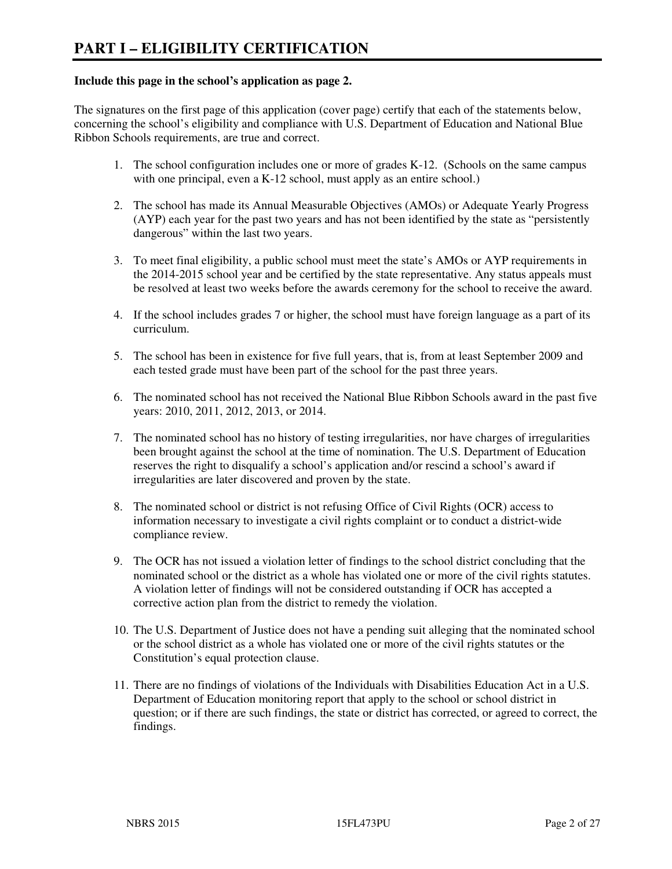#### **Include this page in the school's application as page 2.**

The signatures on the first page of this application (cover page) certify that each of the statements below, concerning the school's eligibility and compliance with U.S. Department of Education and National Blue Ribbon Schools requirements, are true and correct.

- 1. The school configuration includes one or more of grades K-12. (Schools on the same campus with one principal, even a K-12 school, must apply as an entire school.)
- 2. The school has made its Annual Measurable Objectives (AMOs) or Adequate Yearly Progress (AYP) each year for the past two years and has not been identified by the state as "persistently dangerous" within the last two years.
- 3. To meet final eligibility, a public school must meet the state's AMOs or AYP requirements in the 2014-2015 school year and be certified by the state representative. Any status appeals must be resolved at least two weeks before the awards ceremony for the school to receive the award.
- 4. If the school includes grades 7 or higher, the school must have foreign language as a part of its curriculum.
- 5. The school has been in existence for five full years, that is, from at least September 2009 and each tested grade must have been part of the school for the past three years.
- 6. The nominated school has not received the National Blue Ribbon Schools award in the past five years: 2010, 2011, 2012, 2013, or 2014.
- 7. The nominated school has no history of testing irregularities, nor have charges of irregularities been brought against the school at the time of nomination. The U.S. Department of Education reserves the right to disqualify a school's application and/or rescind a school's award if irregularities are later discovered and proven by the state.
- 8. The nominated school or district is not refusing Office of Civil Rights (OCR) access to information necessary to investigate a civil rights complaint or to conduct a district-wide compliance review.
- 9. The OCR has not issued a violation letter of findings to the school district concluding that the nominated school or the district as a whole has violated one or more of the civil rights statutes. A violation letter of findings will not be considered outstanding if OCR has accepted a corrective action plan from the district to remedy the violation.
- 10. The U.S. Department of Justice does not have a pending suit alleging that the nominated school or the school district as a whole has violated one or more of the civil rights statutes or the Constitution's equal protection clause.
- 11. There are no findings of violations of the Individuals with Disabilities Education Act in a U.S. Department of Education monitoring report that apply to the school or school district in question; or if there are such findings, the state or district has corrected, or agreed to correct, the findings.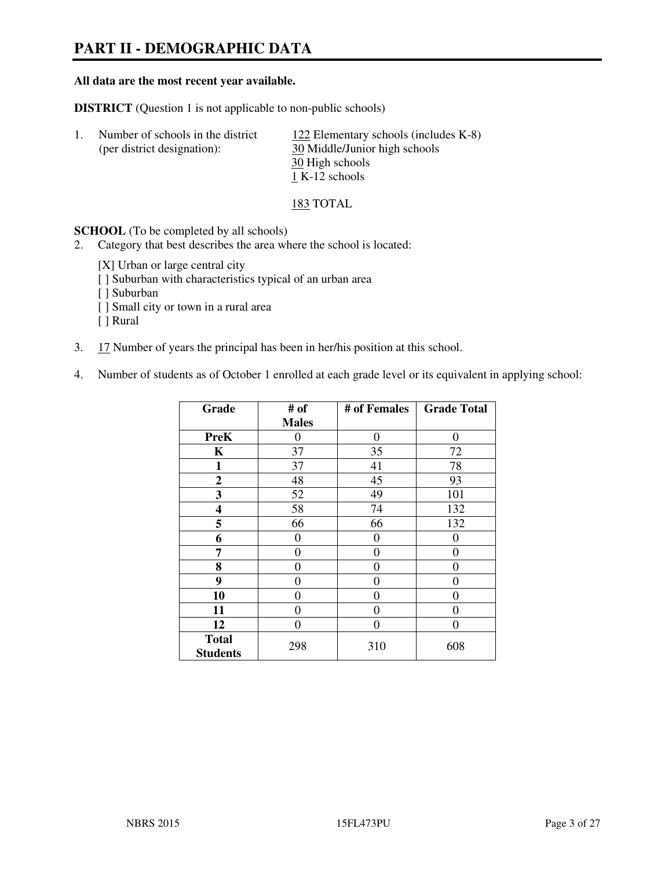## **PART II - DEMOGRAPHIC DATA**

#### **All data are the most recent year available.**

**DISTRICT** (Question 1 is not applicable to non-public schools)

| -1. | Number of schools in the district | 122 Elementary schools (includes K-8) |
|-----|-----------------------------------|---------------------------------------|
|     | (per district designation):       | 30 Middle/Junior high schools         |
|     |                                   | 30 High schools                       |
|     |                                   | 1 K-12 schools                        |

#### 183 TOTAL

**SCHOOL** (To be completed by all schools)

- 2. Category that best describes the area where the school is located:
	- [X] Urban or large central city
	- [ ] Suburban with characteristics typical of an urban area
	- [ ] Suburban
	- [ ] Small city or town in a rural area
	- [ ] Rural
- 3. 17 Number of years the principal has been in her/his position at this school.
- 4. Number of students as of October 1 enrolled at each grade level or its equivalent in applying school:

| Grade                           | # of         | # of Females | <b>Grade Total</b> |
|---------------------------------|--------------|--------------|--------------------|
|                                 | <b>Males</b> |              |                    |
| <b>PreK</b>                     | 0            | $\theta$     | $\theta$           |
| K                               | 37           | 35           | 72                 |
| 1                               | 37           | 41           | 78                 |
| $\mathbf{2}$                    | 48           | 45           | 93                 |
| 3                               | 52           | 49           | 101                |
| 4                               | 58           | 74           | 132                |
| 5                               | 66           | 66           | 132                |
| 6                               | 0            | 0            | $\theta$           |
| 7                               | 0            | $\theta$     | 0                  |
| 8                               | 0            | 0            | 0                  |
| 9                               | 0            | $\theta$     | 0                  |
| 10                              | 0            | 0            | 0                  |
| 11                              | 0            | 0            | 0                  |
| 12                              | 0            | 0            | 0                  |
| <b>Total</b><br><b>Students</b> | 298          | 310          | 608                |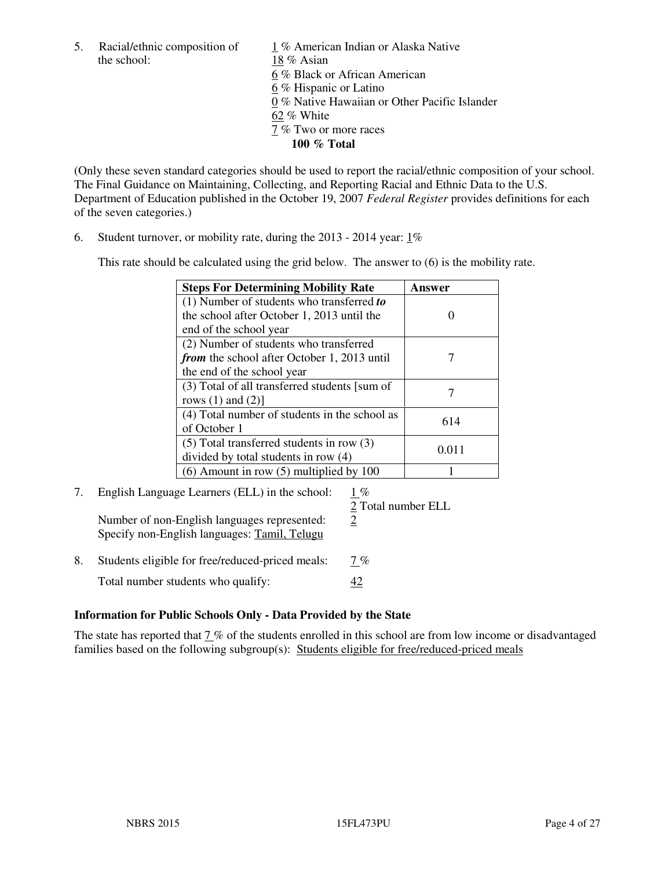the school: 18 % Asian

5. Racial/ethnic composition of  $1\%$  American Indian or Alaska Native 6 % Black or African American 6 % Hispanic or Latino 0 % Native Hawaiian or Other Pacific Islander 62 % White 7 % Two or more races **100 % Total** 

(Only these seven standard categories should be used to report the racial/ethnic composition of your school. The Final Guidance on Maintaining, Collecting, and Reporting Racial and Ethnic Data to the U.S. Department of Education published in the October 19, 2007 *Federal Register* provides definitions for each of the seven categories.)

6. Student turnover, or mobility rate, during the 2013 - 2014 year: 1%

This rate should be calculated using the grid below. The answer to (6) is the mobility rate.

| <b>Steps For Determining Mobility Rate</b>         | Answer |
|----------------------------------------------------|--------|
| $(1)$ Number of students who transferred to        |        |
| the school after October 1, 2013 until the         |        |
| end of the school year                             |        |
| (2) Number of students who transferred             |        |
| <i>from</i> the school after October 1, 2013 until |        |
| the end of the school year                         |        |
| (3) Total of all transferred students [sum of      |        |
| rows $(1)$ and $(2)$ ]                             |        |
| (4) Total number of students in the school as      | 614    |
| of October 1                                       |        |
| $(5)$ Total transferred students in row $(3)$      | 0.011  |
| divided by total students in row (4)               |        |
| $(6)$ Amount in row $(5)$ multiplied by 100        |        |

### 7. English Language Learners (ELL) in the school: 1 %

Number of non-English languages represented:  $\frac{2}{3}$ Specify non-English languages: Tamil, Telugu

2 Total number ELL

8. Students eligible for free/reduced-priced meals:  $7\%$ Total number students who qualify:  $\frac{42}{1}$ 

#### **Information for Public Schools Only - Data Provided by the State**

The state has reported that 7 % of the students enrolled in this school are from low income or disadvantaged families based on the following subgroup(s): Students eligible for free/reduced-priced meals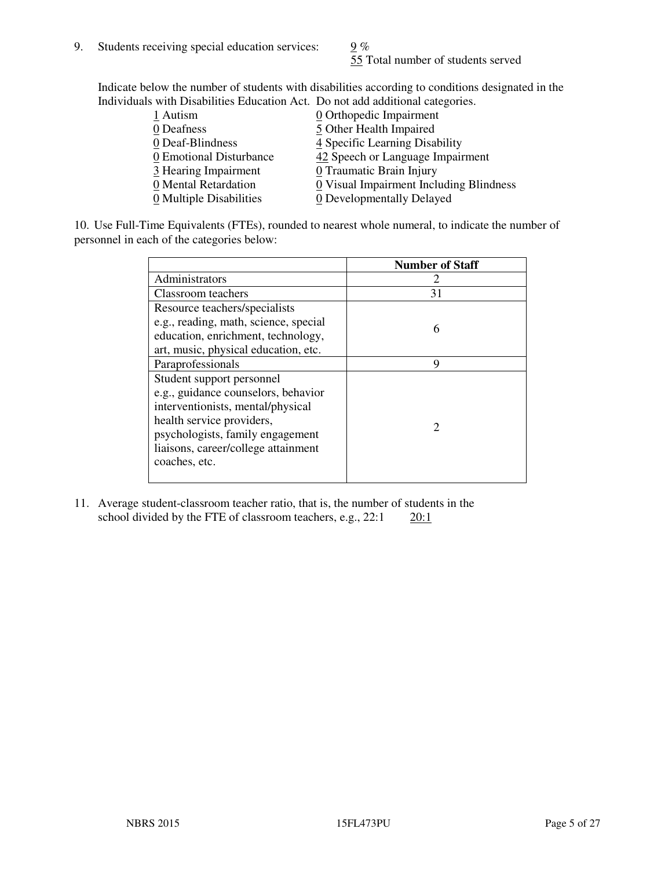55 Total number of students served

Indicate below the number of students with disabilities according to conditions designated in the Individuals with Disabilities Education Act. Do not add additional categories.

| 1 Autism                | $Q$ Orthopedic Impairment               |
|-------------------------|-----------------------------------------|
| 0 Deafness              | 5 Other Health Impaired                 |
| 0 Deaf-Blindness        | 4 Specific Learning Disability          |
| 0 Emotional Disturbance | 42 Speech or Language Impairment        |
| 3 Hearing Impairment    | 0 Traumatic Brain Injury                |
| 0 Mental Retardation    | 0 Visual Impairment Including Blindness |
| 0 Multiple Disabilities | 0 Developmentally Delayed               |
|                         |                                         |

10. Use Full-Time Equivalents (FTEs), rounded to nearest whole numeral, to indicate the number of personnel in each of the categories below:

|                                       | <b>Number of Staff</b> |
|---------------------------------------|------------------------|
| Administrators                        |                        |
| Classroom teachers                    | 31                     |
| Resource teachers/specialists         |                        |
| e.g., reading, math, science, special | 6                      |
| education, enrichment, technology,    |                        |
| art, music, physical education, etc.  |                        |
| Paraprofessionals                     | 9                      |
| Student support personnel             |                        |
| e.g., guidance counselors, behavior   |                        |
| interventionists, mental/physical     |                        |
| health service providers,             |                        |
| psychologists, family engagement      |                        |
| liaisons, career/college attainment   |                        |
| coaches, etc.                         |                        |
|                                       |                        |

11. Average student-classroom teacher ratio, that is, the number of students in the school divided by the FTE of classroom teachers, e.g.,  $22:1$   $20:1$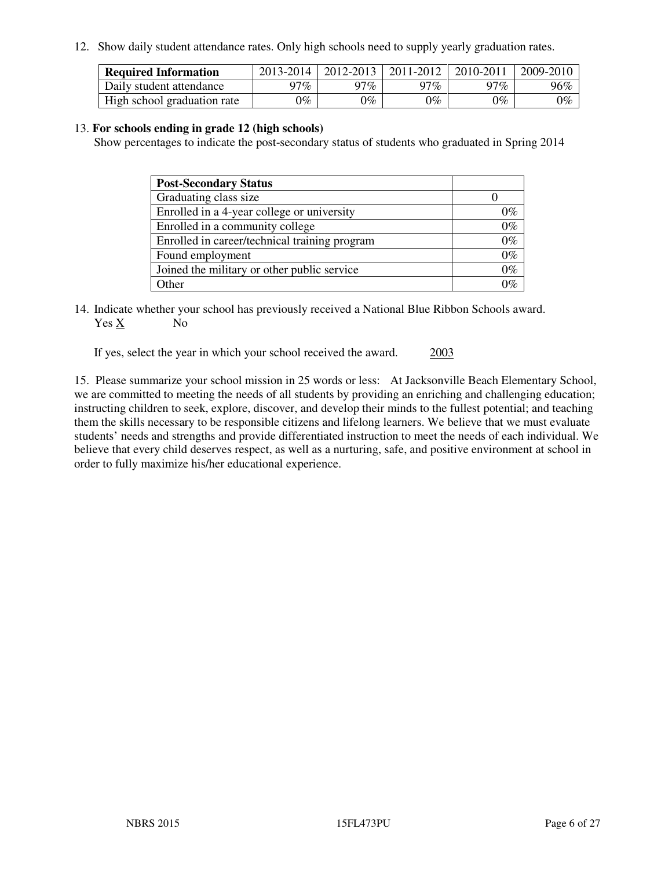12. Show daily student attendance rates. Only high schools need to supply yearly graduation rates.

| <b>Required Information</b> | 2013-2014 | 2012-2013 | 2011-2012 | 2010-2011 | 2009-2010 |
|-----------------------------|-----------|-----------|-----------|-----------|-----------|
| Daily student attendance    | $77\%$    | 97%       | 97%       | $77\%$    | 96%       |
| High school graduation rate | 9%        | $0\%$     | $0\%$     | 0%        | $0\%$     |

#### 13. **For schools ending in grade 12 (high schools)**

Show percentages to indicate the post-secondary status of students who graduated in Spring 2014

| <b>Post-Secondary Status</b>                  |       |
|-----------------------------------------------|-------|
| Graduating class size                         |       |
| Enrolled in a 4-year college or university    | በ‰    |
| Enrolled in a community college               | $0\%$ |
| Enrolled in career/technical training program | $0\%$ |
| Found employment                              | $0\%$ |
| Joined the military or other public service   | $0\%$ |
| Other                                         | ገር/   |

14. Indicate whether your school has previously received a National Blue Ribbon Schools award. Yes X No

If yes, select the year in which your school received the award. 2003

15. Please summarize your school mission in 25 words or less: At Jacksonville Beach Elementary School, we are committed to meeting the needs of all students by providing an enriching and challenging education; instructing children to seek, explore, discover, and develop their minds to the fullest potential; and teaching them the skills necessary to be responsible citizens and lifelong learners. We believe that we must evaluate students' needs and strengths and provide differentiated instruction to meet the needs of each individual. We believe that every child deserves respect, as well as a nurturing, safe, and positive environment at school in order to fully maximize his/her educational experience.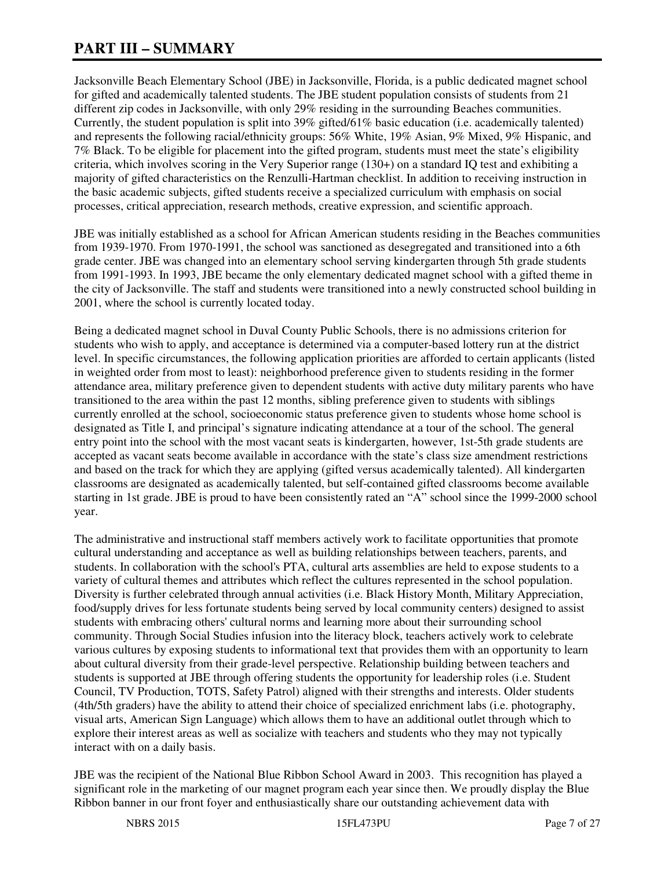## **PART III – SUMMARY**

Jacksonville Beach Elementary School (JBE) in Jacksonville, Florida, is a public dedicated magnet school for gifted and academically talented students. The JBE student population consists of students from 21 different zip codes in Jacksonville, with only 29% residing in the surrounding Beaches communities. Currently, the student population is split into 39% gifted/61% basic education (i.e. academically talented) and represents the following racial/ethnicity groups: 56% White, 19% Asian, 9% Mixed, 9% Hispanic, and 7% Black. To be eligible for placement into the gifted program, students must meet the state's eligibility criteria, which involves scoring in the Very Superior range (130+) on a standard IQ test and exhibiting a majority of gifted characteristics on the Renzulli-Hartman checklist. In addition to receiving instruction in the basic academic subjects, gifted students receive a specialized curriculum with emphasis on social processes, critical appreciation, research methods, creative expression, and scientific approach.

JBE was initially established as a school for African American students residing in the Beaches communities from 1939-1970. From 1970-1991, the school was sanctioned as desegregated and transitioned into a 6th grade center. JBE was changed into an elementary school serving kindergarten through 5th grade students from 1991-1993. In 1993, JBE became the only elementary dedicated magnet school with a gifted theme in the city of Jacksonville. The staff and students were transitioned into a newly constructed school building in 2001, where the school is currently located today.

Being a dedicated magnet school in Duval County Public Schools, there is no admissions criterion for students who wish to apply, and acceptance is determined via a computer-based lottery run at the district level. In specific circumstances, the following application priorities are afforded to certain applicants (listed in weighted order from most to least): neighborhood preference given to students residing in the former attendance area, military preference given to dependent students with active duty military parents who have transitioned to the area within the past 12 months, sibling preference given to students with siblings currently enrolled at the school, socioeconomic status preference given to students whose home school is designated as Title I, and principal's signature indicating attendance at a tour of the school. The general entry point into the school with the most vacant seats is kindergarten, however, 1st-5th grade students are accepted as vacant seats become available in accordance with the state's class size amendment restrictions and based on the track for which they are applying (gifted versus academically talented). All kindergarten classrooms are designated as academically talented, but self-contained gifted classrooms become available starting in 1st grade. JBE is proud to have been consistently rated an "A" school since the 1999-2000 school year.

The administrative and instructional staff members actively work to facilitate opportunities that promote cultural understanding and acceptance as well as building relationships between teachers, parents, and students. In collaboration with the school's PTA, cultural arts assemblies are held to expose students to a variety of cultural themes and attributes which reflect the cultures represented in the school population. Diversity is further celebrated through annual activities (i.e. Black History Month, Military Appreciation, food/supply drives for less fortunate students being served by local community centers) designed to assist students with embracing others' cultural norms and learning more about their surrounding school community. Through Social Studies infusion into the literacy block, teachers actively work to celebrate various cultures by exposing students to informational text that provides them with an opportunity to learn about cultural diversity from their grade-level perspective. Relationship building between teachers and students is supported at JBE through offering students the opportunity for leadership roles (i.e. Student Council, TV Production, TOTS, Safety Patrol) aligned with their strengths and interests. Older students (4th/5th graders) have the ability to attend their choice of specialized enrichment labs (i.e. photography, visual arts, American Sign Language) which allows them to have an additional outlet through which to explore their interest areas as well as socialize with teachers and students who they may not typically interact with on a daily basis.

JBE was the recipient of the National Blue Ribbon School Award in 2003. This recognition has played a significant role in the marketing of our magnet program each year since then. We proudly display the Blue Ribbon banner in our front foyer and enthusiastically share our outstanding achievement data with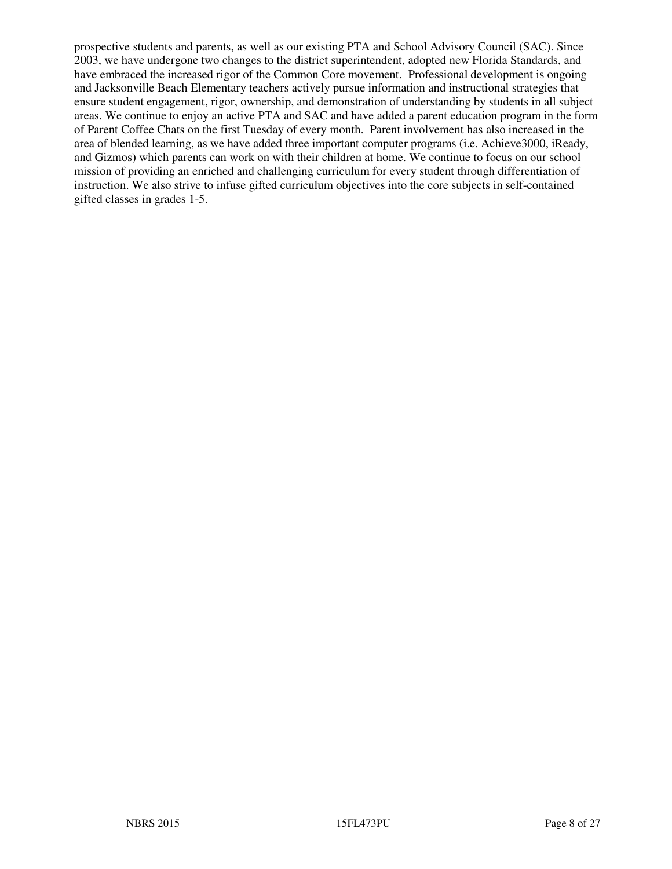prospective students and parents, as well as our existing PTA and School Advisory Council (SAC). Since 2003, we have undergone two changes to the district superintendent, adopted new Florida Standards, and have embraced the increased rigor of the Common Core movement. Professional development is ongoing and Jacksonville Beach Elementary teachers actively pursue information and instructional strategies that ensure student engagement, rigor, ownership, and demonstration of understanding by students in all subject areas. We continue to enjoy an active PTA and SAC and have added a parent education program in the form of Parent Coffee Chats on the first Tuesday of every month. Parent involvement has also increased in the area of blended learning, as we have added three important computer programs (i.e. Achieve3000, iReady, and Gizmos) which parents can work on with their children at home. We continue to focus on our school mission of providing an enriched and challenging curriculum for every student through differentiation of instruction. We also strive to infuse gifted curriculum objectives into the core subjects in self-contained gifted classes in grades 1-5.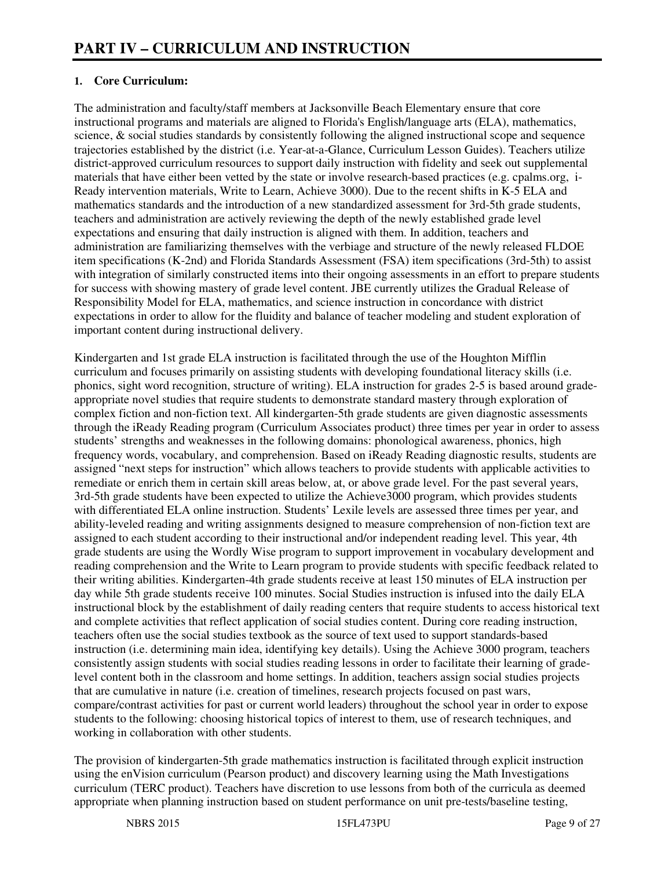#### **1. Core Curriculum:**

The administration and faculty/staff members at Jacksonville Beach Elementary ensure that core instructional programs and materials are aligned to Florida's English/language arts (ELA), mathematics, science, & social studies standards by consistently following the aligned instructional scope and sequence trajectories established by the district (i.e. Year-at-a-Glance, Curriculum Lesson Guides). Teachers utilize district-approved curriculum resources to support daily instruction with fidelity and seek out supplemental materials that have either been vetted by the state or involve research-based practices (e.g. cpalms.org, i-Ready intervention materials, Write to Learn, Achieve 3000). Due to the recent shifts in K-5 ELA and mathematics standards and the introduction of a new standardized assessment for 3rd-5th grade students, teachers and administration are actively reviewing the depth of the newly established grade level expectations and ensuring that daily instruction is aligned with them. In addition, teachers and administration are familiarizing themselves with the verbiage and structure of the newly released FLDOE item specifications (K-2nd) and Florida Standards Assessment (FSA) item specifications (3rd-5th) to assist with integration of similarly constructed items into their ongoing assessments in an effort to prepare students for success with showing mastery of grade level content. JBE currently utilizes the Gradual Release of Responsibility Model for ELA, mathematics, and science instruction in concordance with district expectations in order to allow for the fluidity and balance of teacher modeling and student exploration of important content during instructional delivery.

Kindergarten and 1st grade ELA instruction is facilitated through the use of the Houghton Mifflin curriculum and focuses primarily on assisting students with developing foundational literacy skills (i.e. phonics, sight word recognition, structure of writing). ELA instruction for grades 2-5 is based around gradeappropriate novel studies that require students to demonstrate standard mastery through exploration of complex fiction and non-fiction text. All kindergarten-5th grade students are given diagnostic assessments through the iReady Reading program (Curriculum Associates product) three times per year in order to assess students' strengths and weaknesses in the following domains: phonological awareness, phonics, high frequency words, vocabulary, and comprehension. Based on iReady Reading diagnostic results, students are assigned "next steps for instruction" which allows teachers to provide students with applicable activities to remediate or enrich them in certain skill areas below, at, or above grade level. For the past several years, 3rd-5th grade students have been expected to utilize the Achieve3000 program, which provides students with differentiated ELA online instruction. Students' Lexile levels are assessed three times per year, and ability-leveled reading and writing assignments designed to measure comprehension of non-fiction text are assigned to each student according to their instructional and/or independent reading level. This year, 4th grade students are using the Wordly Wise program to support improvement in vocabulary development and reading comprehension and the Write to Learn program to provide students with specific feedback related to their writing abilities. Kindergarten-4th grade students receive at least 150 minutes of ELA instruction per day while 5th grade students receive 100 minutes. Social Studies instruction is infused into the daily ELA instructional block by the establishment of daily reading centers that require students to access historical text and complete activities that reflect application of social studies content. During core reading instruction, teachers often use the social studies textbook as the source of text used to support standards-based instruction (i.e. determining main idea, identifying key details). Using the Achieve 3000 program, teachers consistently assign students with social studies reading lessons in order to facilitate their learning of gradelevel content both in the classroom and home settings. In addition, teachers assign social studies projects that are cumulative in nature (i.e. creation of timelines, research projects focused on past wars, compare/contrast activities for past or current world leaders) throughout the school year in order to expose students to the following: choosing historical topics of interest to them, use of research techniques, and working in collaboration with other students.

The provision of kindergarten-5th grade mathematics instruction is facilitated through explicit instruction using the enVision curriculum (Pearson product) and discovery learning using the Math Investigations curriculum (TERC product). Teachers have discretion to use lessons from both of the curricula as deemed appropriate when planning instruction based on student performance on unit pre-tests/baseline testing,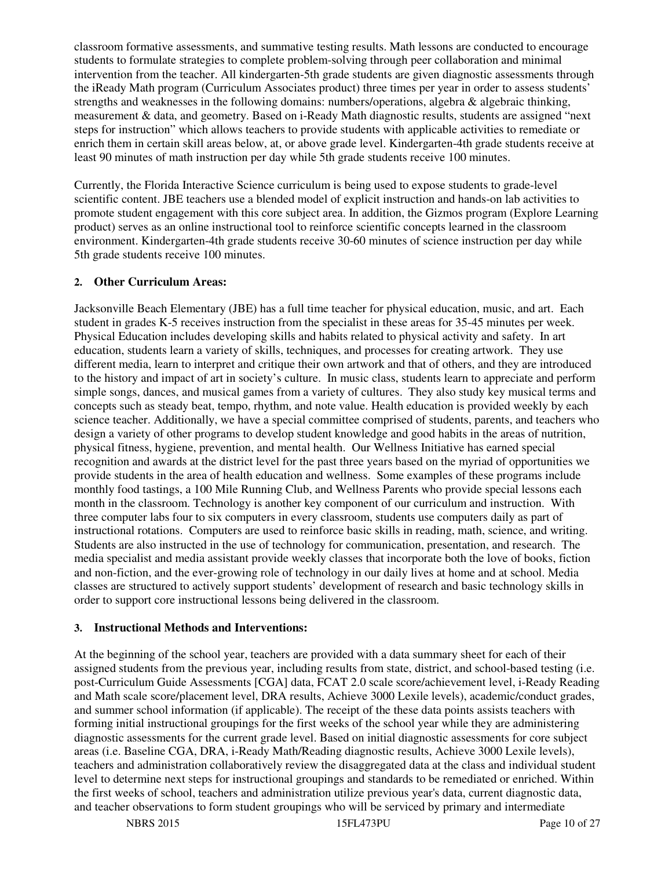classroom formative assessments, and summative testing results. Math lessons are conducted to encourage students to formulate strategies to complete problem-solving through peer collaboration and minimal intervention from the teacher. All kindergarten-5th grade students are given diagnostic assessments through the iReady Math program (Curriculum Associates product) three times per year in order to assess students' strengths and weaknesses in the following domains: numbers/operations, algebra & algebraic thinking, measurement & data, and geometry. Based on i-Ready Math diagnostic results, students are assigned "next steps for instruction" which allows teachers to provide students with applicable activities to remediate or enrich them in certain skill areas below, at, or above grade level. Kindergarten-4th grade students receive at least 90 minutes of math instruction per day while 5th grade students receive 100 minutes.

Currently, the Florida Interactive Science curriculum is being used to expose students to grade-level scientific content. JBE teachers use a blended model of explicit instruction and hands-on lab activities to promote student engagement with this core subject area. In addition, the Gizmos program (Explore Learning product) serves as an online instructional tool to reinforce scientific concepts learned in the classroom environment. Kindergarten-4th grade students receive 30-60 minutes of science instruction per day while 5th grade students receive 100 minutes.

#### **2. Other Curriculum Areas:**

Jacksonville Beach Elementary (JBE) has a full time teacher for physical education, music, and art. Each student in grades K-5 receives instruction from the specialist in these areas for 35-45 minutes per week. Physical Education includes developing skills and habits related to physical activity and safety. In art education, students learn a variety of skills, techniques, and processes for creating artwork. They use different media, learn to interpret and critique their own artwork and that of others, and they are introduced to the history and impact of art in society's culture. In music class, students learn to appreciate and perform simple songs, dances, and musical games from a variety of cultures. They also study key musical terms and concepts such as steady beat, tempo, rhythm, and note value. Health education is provided weekly by each science teacher. Additionally, we have a special committee comprised of students, parents, and teachers who design a variety of other programs to develop student knowledge and good habits in the areas of nutrition, physical fitness, hygiene, prevention, and mental health. Our Wellness Initiative has earned special recognition and awards at the district level for the past three years based on the myriad of opportunities we provide students in the area of health education and wellness. Some examples of these programs include monthly food tastings, a 100 Mile Running Club, and Wellness Parents who provide special lessons each month in the classroom. Technology is another key component of our curriculum and instruction. With three computer labs four to six computers in every classroom, students use computers daily as part of instructional rotations. Computers are used to reinforce basic skills in reading, math, science, and writing. Students are also instructed in the use of technology for communication, presentation, and research. The media specialist and media assistant provide weekly classes that incorporate both the love of books, fiction and non-fiction, and the ever-growing role of technology in our daily lives at home and at school. Media classes are structured to actively support students' development of research and basic technology skills in order to support core instructional lessons being delivered in the classroom.

#### **3. Instructional Methods and Interventions:**

At the beginning of the school year, teachers are provided with a data summary sheet for each of their assigned students from the previous year, including results from state, district, and school-based testing (i.e. post-Curriculum Guide Assessments [CGA] data, FCAT 2.0 scale score/achievement level, i-Ready Reading and Math scale score/placement level, DRA results, Achieve 3000 Lexile levels), academic/conduct grades, and summer school information (if applicable). The receipt of the these data points assists teachers with forming initial instructional groupings for the first weeks of the school year while they are administering diagnostic assessments for the current grade level. Based on initial diagnostic assessments for core subject areas (i.e. Baseline CGA, DRA, i-Ready Math/Reading diagnostic results, Achieve 3000 Lexile levels), teachers and administration collaboratively review the disaggregated data at the class and individual student level to determine next steps for instructional groupings and standards to be remediated or enriched. Within the first weeks of school, teachers and administration utilize previous year's data, current diagnostic data, and teacher observations to form student groupings who will be serviced by primary and intermediate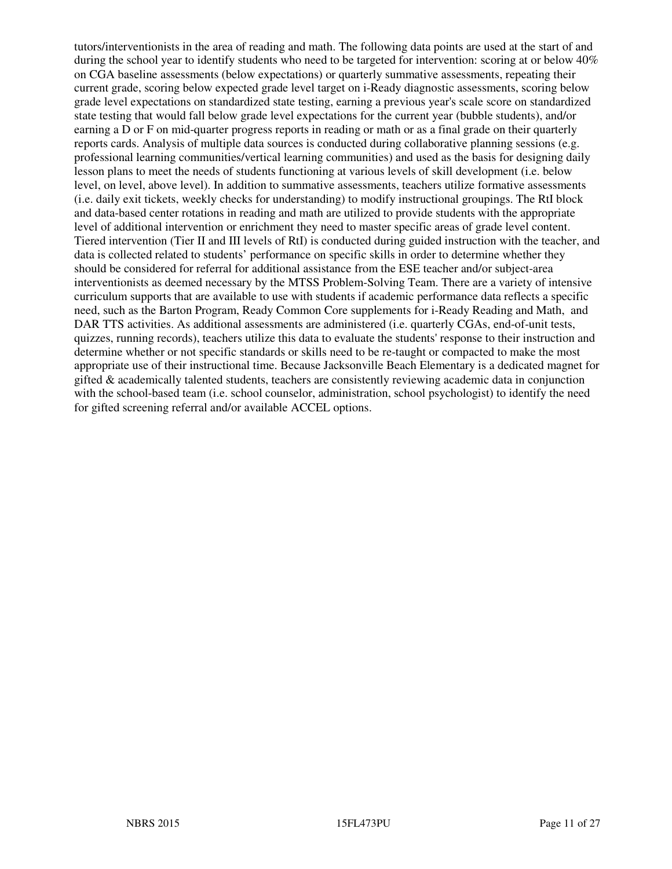tutors/interventionists in the area of reading and math. The following data points are used at the start of and during the school year to identify students who need to be targeted for intervention: scoring at or below 40% on CGA baseline assessments (below expectations) or quarterly summative assessments, repeating their current grade, scoring below expected grade level target on i-Ready diagnostic assessments, scoring below grade level expectations on standardized state testing, earning a previous year's scale score on standardized state testing that would fall below grade level expectations for the current year (bubble students), and/or earning a D or F on mid-quarter progress reports in reading or math or as a final grade on their quarterly reports cards. Analysis of multiple data sources is conducted during collaborative planning sessions (e.g. professional learning communities/vertical learning communities) and used as the basis for designing daily lesson plans to meet the needs of students functioning at various levels of skill development (i.e. below level, on level, above level). In addition to summative assessments, teachers utilize formative assessments (i.e. daily exit tickets, weekly checks for understanding) to modify instructional groupings. The RtI block and data-based center rotations in reading and math are utilized to provide students with the appropriate level of additional intervention or enrichment they need to master specific areas of grade level content. Tiered intervention (Tier II and III levels of RtI) is conducted during guided instruction with the teacher, and data is collected related to students' performance on specific skills in order to determine whether they should be considered for referral for additional assistance from the ESE teacher and/or subject-area interventionists as deemed necessary by the MTSS Problem-Solving Team. There are a variety of intensive curriculum supports that are available to use with students if academic performance data reflects a specific need, such as the Barton Program, Ready Common Core supplements for i-Ready Reading and Math, and DAR TTS activities. As additional assessments are administered (i.e. quarterly CGAs, end-of-unit tests, quizzes, running records), teachers utilize this data to evaluate the students' response to their instruction and determine whether or not specific standards or skills need to be re-taught or compacted to make the most appropriate use of their instructional time. Because Jacksonville Beach Elementary is a dedicated magnet for gifted & academically talented students, teachers are consistently reviewing academic data in conjunction with the school-based team (i.e. school counselor, administration, school psychologist) to identify the need for gifted screening referral and/or available ACCEL options.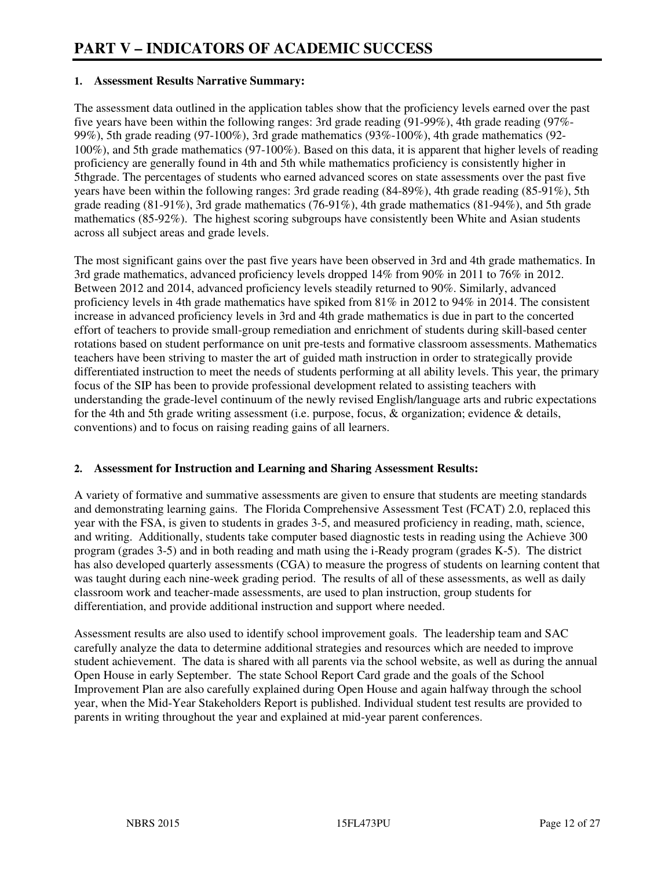#### **1. Assessment Results Narrative Summary:**

The assessment data outlined in the application tables show that the proficiency levels earned over the past five years have been within the following ranges: 3rd grade reading (91-99%), 4th grade reading (97%- 99%), 5th grade reading (97-100%), 3rd grade mathematics (93%-100%), 4th grade mathematics (92- 100%), and 5th grade mathematics (97-100%). Based on this data, it is apparent that higher levels of reading proficiency are generally found in 4th and 5th while mathematics proficiency is consistently higher in 5thgrade. The percentages of students who earned advanced scores on state assessments over the past five years have been within the following ranges: 3rd grade reading (84-89%), 4th grade reading (85-91%), 5th grade reading (81-91%), 3rd grade mathematics (76-91%), 4th grade mathematics (81-94%), and 5th grade mathematics (85-92%). The highest scoring subgroups have consistently been White and Asian students across all subject areas and grade levels.

The most significant gains over the past five years have been observed in 3rd and 4th grade mathematics. In 3rd grade mathematics, advanced proficiency levels dropped 14% from 90% in 2011 to 76% in 2012. Between 2012 and 2014, advanced proficiency levels steadily returned to 90%. Similarly, advanced proficiency levels in 4th grade mathematics have spiked from 81% in 2012 to 94% in 2014. The consistent increase in advanced proficiency levels in 3rd and 4th grade mathematics is due in part to the concerted effort of teachers to provide small-group remediation and enrichment of students during skill-based center rotations based on student performance on unit pre-tests and formative classroom assessments. Mathematics teachers have been striving to master the art of guided math instruction in order to strategically provide differentiated instruction to meet the needs of students performing at all ability levels. This year, the primary focus of the SIP has been to provide professional development related to assisting teachers with understanding the grade-level continuum of the newly revised English/language arts and rubric expectations for the 4th and 5th grade writing assessment (i.e. purpose, focus, & organization; evidence & details, conventions) and to focus on raising reading gains of all learners.

#### **2. Assessment for Instruction and Learning and Sharing Assessment Results:**

A variety of formative and summative assessments are given to ensure that students are meeting standards and demonstrating learning gains. The Florida Comprehensive Assessment Test (FCAT) 2.0, replaced this year with the FSA, is given to students in grades 3-5, and measured proficiency in reading, math, science, and writing. Additionally, students take computer based diagnostic tests in reading using the Achieve 300 program (grades 3-5) and in both reading and math using the i-Ready program (grades K-5). The district has also developed quarterly assessments (CGA) to measure the progress of students on learning content that was taught during each nine-week grading period. The results of all of these assessments, as well as daily classroom work and teacher-made assessments, are used to plan instruction, group students for differentiation, and provide additional instruction and support where needed.

Assessment results are also used to identify school improvement goals. The leadership team and SAC carefully analyze the data to determine additional strategies and resources which are needed to improve student achievement. The data is shared with all parents via the school website, as well as during the annual Open House in early September. The state School Report Card grade and the goals of the School Improvement Plan are also carefully explained during Open House and again halfway through the school year, when the Mid-Year Stakeholders Report is published. Individual student test results are provided to parents in writing throughout the year and explained at mid-year parent conferences.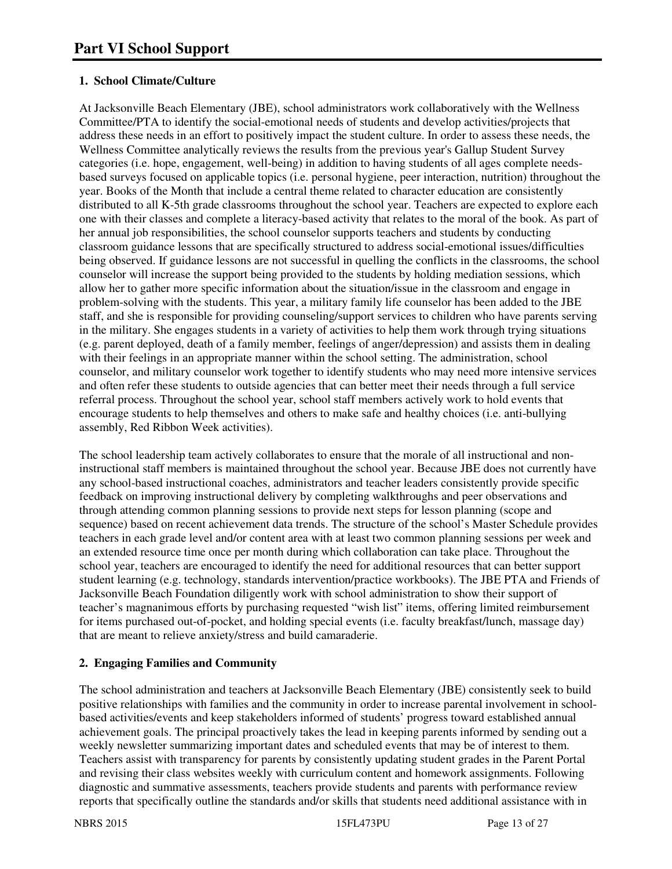#### **1. School Climate/Culture**

At Jacksonville Beach Elementary (JBE), school administrators work collaboratively with the Wellness Committee/PTA to identify the social-emotional needs of students and develop activities/projects that address these needs in an effort to positively impact the student culture. In order to assess these needs, the Wellness Committee analytically reviews the results from the previous year's Gallup Student Survey categories (i.e. hope, engagement, well-being) in addition to having students of all ages complete needsbased surveys focused on applicable topics (i.e. personal hygiene, peer interaction, nutrition) throughout the year. Books of the Month that include a central theme related to character education are consistently distributed to all K-5th grade classrooms throughout the school year. Teachers are expected to explore each one with their classes and complete a literacy-based activity that relates to the moral of the book. As part of her annual job responsibilities, the school counselor supports teachers and students by conducting classroom guidance lessons that are specifically structured to address social-emotional issues/difficulties being observed. If guidance lessons are not successful in quelling the conflicts in the classrooms, the school counselor will increase the support being provided to the students by holding mediation sessions, which allow her to gather more specific information about the situation/issue in the classroom and engage in problem-solving with the students. This year, a military family life counselor has been added to the JBE staff, and she is responsible for providing counseling/support services to children who have parents serving in the military. She engages students in a variety of activities to help them work through trying situations (e.g. parent deployed, death of a family member, feelings of anger/depression) and assists them in dealing with their feelings in an appropriate manner within the school setting. The administration, school counselor, and military counselor work together to identify students who may need more intensive services and often refer these students to outside agencies that can better meet their needs through a full service referral process. Throughout the school year, school staff members actively work to hold events that encourage students to help themselves and others to make safe and healthy choices (i.e. anti-bullying assembly, Red Ribbon Week activities).

The school leadership team actively collaborates to ensure that the morale of all instructional and noninstructional staff members is maintained throughout the school year. Because JBE does not currently have any school-based instructional coaches, administrators and teacher leaders consistently provide specific feedback on improving instructional delivery by completing walkthroughs and peer observations and through attending common planning sessions to provide next steps for lesson planning (scope and sequence) based on recent achievement data trends. The structure of the school's Master Schedule provides teachers in each grade level and/or content area with at least two common planning sessions per week and an extended resource time once per month during which collaboration can take place. Throughout the school year, teachers are encouraged to identify the need for additional resources that can better support student learning (e.g. technology, standards intervention/practice workbooks). The JBE PTA and Friends of Jacksonville Beach Foundation diligently work with school administration to show their support of teacher's magnanimous efforts by purchasing requested "wish list" items, offering limited reimbursement for items purchased out-of-pocket, and holding special events (i.e. faculty breakfast/lunch, massage day) that are meant to relieve anxiety/stress and build camaraderie.

#### **2. Engaging Families and Community**

The school administration and teachers at Jacksonville Beach Elementary (JBE) consistently seek to build positive relationships with families and the community in order to increase parental involvement in schoolbased activities/events and keep stakeholders informed of students' progress toward established annual achievement goals. The principal proactively takes the lead in keeping parents informed by sending out a weekly newsletter summarizing important dates and scheduled events that may be of interest to them. Teachers assist with transparency for parents by consistently updating student grades in the Parent Portal and revising their class websites weekly with curriculum content and homework assignments. Following diagnostic and summative assessments, teachers provide students and parents with performance review reports that specifically outline the standards and/or skills that students need additional assistance with in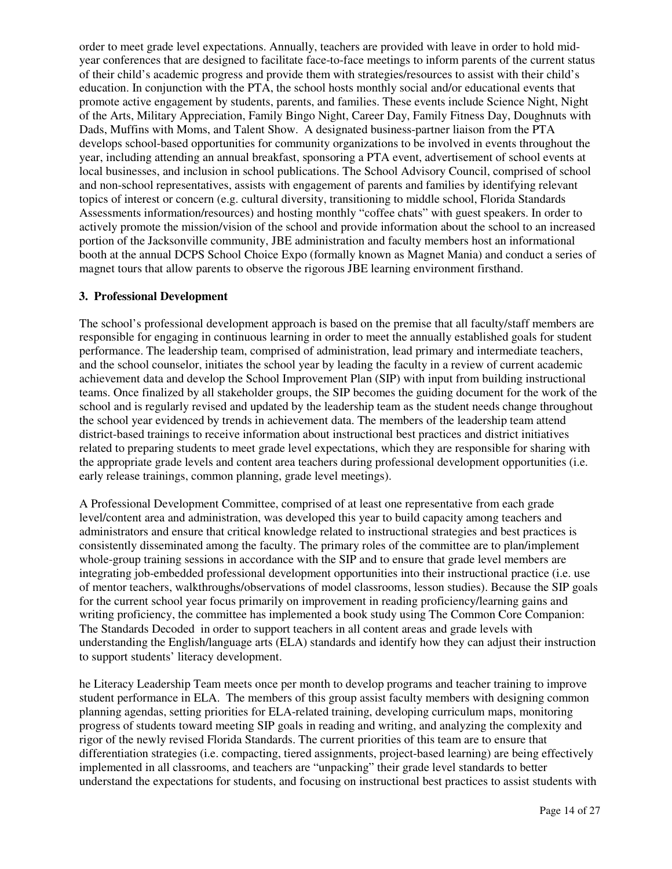order to meet grade level expectations. Annually, teachers are provided with leave in order to hold midyear conferences that are designed to facilitate face-to-face meetings to inform parents of the current status of their child's academic progress and provide them with strategies/resources to assist with their child's education. In conjunction with the PTA, the school hosts monthly social and/or educational events that promote active engagement by students, parents, and families. These events include Science Night, Night of the Arts, Military Appreciation, Family Bingo Night, Career Day, Family Fitness Day, Doughnuts with Dads, Muffins with Moms, and Talent Show. A designated business-partner liaison from the PTA develops school-based opportunities for community organizations to be involved in events throughout the year, including attending an annual breakfast, sponsoring a PTA event, advertisement of school events at local businesses, and inclusion in school publications. The School Advisory Council, comprised of school and non-school representatives, assists with engagement of parents and families by identifying relevant topics of interest or concern (e.g. cultural diversity, transitioning to middle school, Florida Standards Assessments information/resources) and hosting monthly "coffee chats" with guest speakers. In order to actively promote the mission/vision of the school and provide information about the school to an increased portion of the Jacksonville community, JBE administration and faculty members host an informational booth at the annual DCPS School Choice Expo (formally known as Magnet Mania) and conduct a series of magnet tours that allow parents to observe the rigorous JBE learning environment firsthand.

#### **3. Professional Development**

The school's professional development approach is based on the premise that all faculty/staff members are responsible for engaging in continuous learning in order to meet the annually established goals for student performance. The leadership team, comprised of administration, lead primary and intermediate teachers, and the school counselor, initiates the school year by leading the faculty in a review of current academic achievement data and develop the School Improvement Plan (SIP) with input from building instructional teams. Once finalized by all stakeholder groups, the SIP becomes the guiding document for the work of the school and is regularly revised and updated by the leadership team as the student needs change throughout the school year evidenced by trends in achievement data. The members of the leadership team attend district-based trainings to receive information about instructional best practices and district initiatives related to preparing students to meet grade level expectations, which they are responsible for sharing with the appropriate grade levels and content area teachers during professional development opportunities (i.e. early release trainings, common planning, grade level meetings).

A Professional Development Committee, comprised of at least one representative from each grade level/content area and administration, was developed this year to build capacity among teachers and administrators and ensure that critical knowledge related to instructional strategies and best practices is consistently disseminated among the faculty. The primary roles of the committee are to plan/implement whole-group training sessions in accordance with the SIP and to ensure that grade level members are integrating job-embedded professional development opportunities into their instructional practice (i.e. use of mentor teachers, walkthroughs/observations of model classrooms, lesson studies). Because the SIP goals for the current school year focus primarily on improvement in reading proficiency/learning gains and writing proficiency, the committee has implemented a book study using The Common Core Companion: The Standards Decoded in order to support teachers in all content areas and grade levels with understanding the English/language arts (ELA) standards and identify how they can adjust their instruction to support students' literacy development.

he Literacy Leadership Team meets once per month to develop programs and teacher training to improve student performance in ELA. The members of this group assist faculty members with designing common planning agendas, setting priorities for ELA-related training, developing curriculum maps, monitoring progress of students toward meeting SIP goals in reading and writing, and analyzing the complexity and rigor of the newly revised Florida Standards. The current priorities of this team are to ensure that differentiation strategies (i.e. compacting, tiered assignments, project-based learning) are being effectively implemented in all classrooms, and teachers are "unpacking" their grade level standards to better understand the expectations for students, and focusing on instructional best practices to assist students with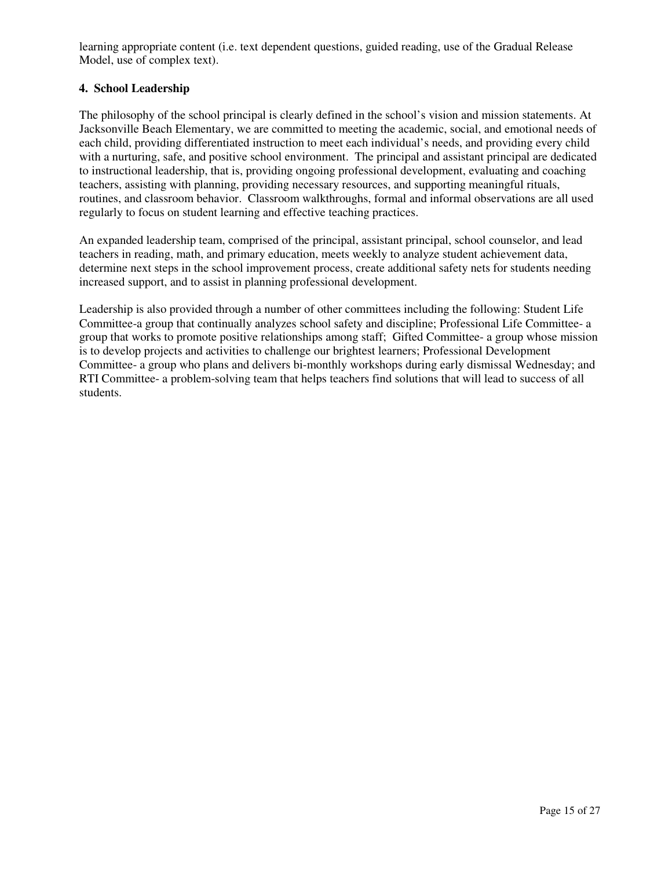learning appropriate content (i.e. text dependent questions, guided reading, use of the Gradual Release Model, use of complex text).

#### **4. School Leadership**

The philosophy of the school principal is clearly defined in the school's vision and mission statements. At Jacksonville Beach Elementary, we are committed to meeting the academic, social, and emotional needs of each child, providing differentiated instruction to meet each individual's needs, and providing every child with a nurturing, safe, and positive school environment. The principal and assistant principal are dedicated to instructional leadership, that is, providing ongoing professional development, evaluating and coaching teachers, assisting with planning, providing necessary resources, and supporting meaningful rituals, routines, and classroom behavior. Classroom walkthroughs, formal and informal observations are all used regularly to focus on student learning and effective teaching practices.

An expanded leadership team, comprised of the principal, assistant principal, school counselor, and lead teachers in reading, math, and primary education, meets weekly to analyze student achievement data, determine next steps in the school improvement process, create additional safety nets for students needing increased support, and to assist in planning professional development.

Leadership is also provided through a number of other committees including the following: Student Life Committee-a group that continually analyzes school safety and discipline; Professional Life Committee- a group that works to promote positive relationships among staff; Gifted Committee- a group whose mission is to develop projects and activities to challenge our brightest learners; Professional Development Committee- a group who plans and delivers bi-monthly workshops during early dismissal Wednesday; and RTI Committee- a problem-solving team that helps teachers find solutions that will lead to success of all students.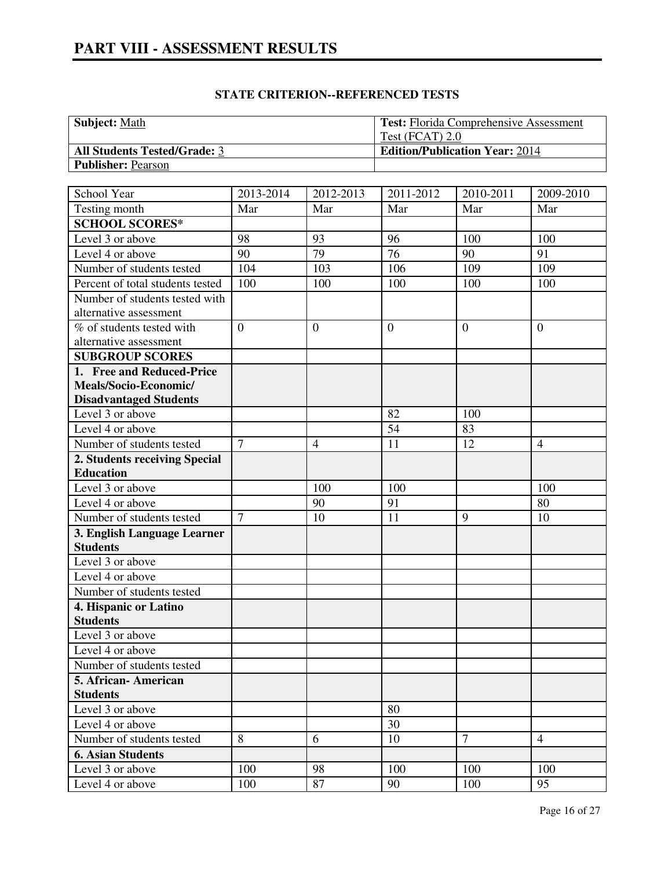| <b>Subject:</b> Math                | <b>Test:</b> Florida Comprehensive Assessment |
|-------------------------------------|-----------------------------------------------|
|                                     | Test (FCAT) $2.0$                             |
| <b>All Students Tested/Grade: 3</b> | <b>Edition/Publication Year: 2014</b>         |
| <b>Publisher: Pearson</b>           |                                               |

| School Year<br>2013-2014<br>2012-2013                                       | 2011-2012<br>2010-2011<br>2009-2010 |
|-----------------------------------------------------------------------------|-------------------------------------|
| Testing month<br>Mar<br>Mar                                                 | Mar<br>Mar<br>Mar                   |
| <b>SCHOOL SCORES*</b>                                                       |                                     |
| Level 3 or above<br>98<br>93<br>96                                          | 100<br>100                          |
| 79<br>76<br>Level 4 or above<br>90                                          | 90<br>91                            |
| 104<br>Number of students tested<br>103                                     | 109<br>109<br>106                   |
| Percent of total students tested<br>100<br>100                              | 100<br>100<br>100                   |
| Number of students tested with                                              |                                     |
| alternative assessment                                                      |                                     |
| % of students tested with<br>$\mathbf{0}$<br>$\mathbf{0}$<br>$\overline{0}$ | $\theta$<br>$\overline{0}$          |
| alternative assessment                                                      |                                     |
| <b>SUBGROUP SCORES</b>                                                      |                                     |
| 1. Free and Reduced-Price                                                   |                                     |
| Meals/Socio-Economic/                                                       |                                     |
| <b>Disadvantaged Students</b>                                               |                                     |
| Level 3 or above<br>82                                                      | 100                                 |
| Level 4 or above<br>54                                                      | 83                                  |
| $\overline{7}$<br>Number of students tested<br>11<br>$\overline{4}$         | 12<br>$\overline{4}$                |
| 2. Students receiving Special                                               |                                     |
| <b>Education</b>                                                            |                                     |
| Level 3 or above<br>100                                                     | 100<br>100                          |
| Level 4 or above<br>90<br>91                                                | 80                                  |
| $\overline{7}$<br>Number of students tested<br>11<br>10                     | 9<br>10                             |
| 3. English Language Learner                                                 |                                     |
| <b>Students</b>                                                             |                                     |
| Level 3 or above                                                            |                                     |
| Level 4 or above                                                            |                                     |
| Number of students tested                                                   |                                     |
| 4. Hispanic or Latino                                                       |                                     |
| <b>Students</b>                                                             |                                     |
| Level 3 or above                                                            |                                     |
| Level 4 or above                                                            |                                     |
| Number of students tested                                                   |                                     |
| 5. African-American                                                         |                                     |
| <b>Students</b>                                                             |                                     |
| 80<br>Level 3 or above                                                      |                                     |
| Level 4 or above<br>30                                                      |                                     |
| Number of students tested<br>8<br>6<br>10                                   | $\overline{7}$<br>$\overline{4}$    |
| <b>6. Asian Students</b>                                                    |                                     |
| 100<br>100<br>98<br>Level 3 or above                                        | 100<br>100                          |
|                                                                             |                                     |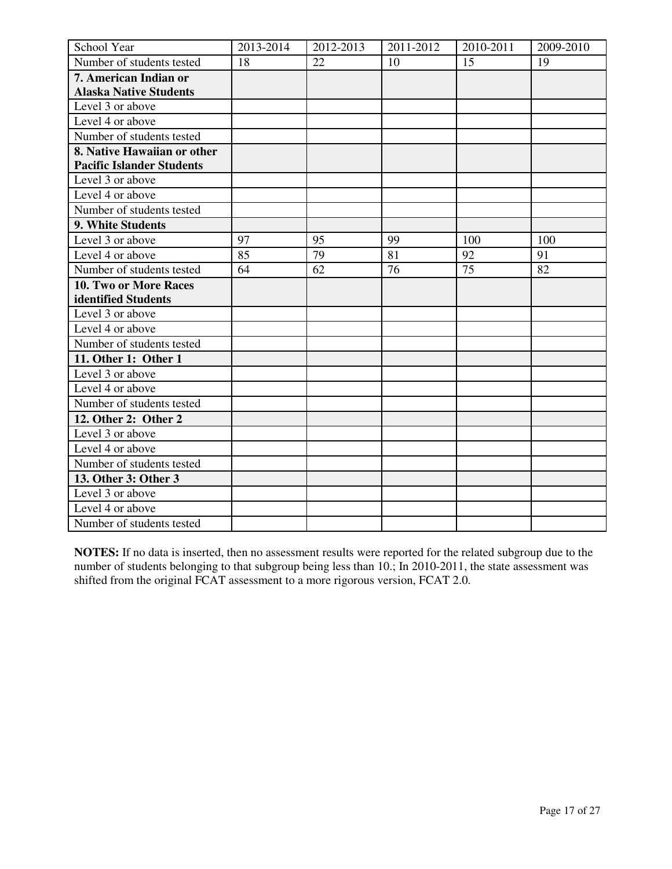| School Year                      | 2013-2014 | 2012-2013 | 2011-2012 | 2010-2011 | 2009-2010 |
|----------------------------------|-----------|-----------|-----------|-----------|-----------|
| Number of students tested        | 18        | 22        | 10        | 15        | 19        |
| 7. American Indian or            |           |           |           |           |           |
| <b>Alaska Native Students</b>    |           |           |           |           |           |
| Level 3 or above                 |           |           |           |           |           |
| Level 4 or above                 |           |           |           |           |           |
| Number of students tested        |           |           |           |           |           |
| 8. Native Hawaiian or other      |           |           |           |           |           |
| <b>Pacific Islander Students</b> |           |           |           |           |           |
| Level 3 or above                 |           |           |           |           |           |
| Level 4 or above                 |           |           |           |           |           |
| Number of students tested        |           |           |           |           |           |
| 9. White Students                |           |           |           |           |           |
| Level 3 or above                 | 97        | 95        | 99        | 100       | 100       |
| Level 4 or above                 | 85        | 79        | 81        | 92        | 91        |
| Number of students tested        | 64        | 62        | 76        | 75        | 82        |
| 10. Two or More Races            |           |           |           |           |           |
| identified Students              |           |           |           |           |           |
| Level 3 or above                 |           |           |           |           |           |
| Level 4 or above                 |           |           |           |           |           |
| Number of students tested        |           |           |           |           |           |
| 11. Other 1: Other 1             |           |           |           |           |           |
| Level 3 or above                 |           |           |           |           |           |
| Level 4 or above                 |           |           |           |           |           |
| Number of students tested        |           |           |           |           |           |
| 12. Other 2: Other 2             |           |           |           |           |           |
| Level 3 or above                 |           |           |           |           |           |
| Level 4 or above                 |           |           |           |           |           |
| Number of students tested        |           |           |           |           |           |
| 13. Other 3: Other 3             |           |           |           |           |           |
| Level 3 or above                 |           |           |           |           |           |
| Level 4 or above                 |           |           |           |           |           |
| Number of students tested        |           |           |           |           |           |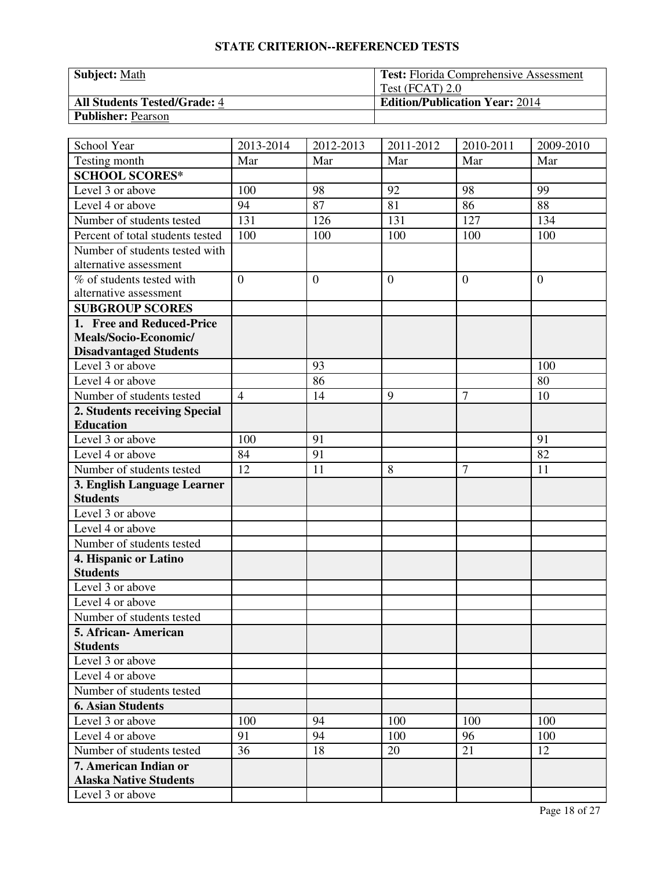| <b>Subject: Math</b>                | <b>Test:</b> Florida Comprehensive Assessment |
|-------------------------------------|-----------------------------------------------|
|                                     | Test (FCAT) 2.0                               |
| <b>All Students Tested/Grade: 4</b> | <b>Edition/Publication Year: 2014</b>         |
| <b>Publisher: Pearson</b>           |                                               |

| School Year                                              | 2013-2014      | 2012-2013        | 2011-2012      | 2010-2011      | 2009-2010    |
|----------------------------------------------------------|----------------|------------------|----------------|----------------|--------------|
| Testing month                                            | Mar            | Mar              | Mar            | Mar            | Mar          |
| <b>SCHOOL SCORES*</b>                                    |                |                  |                |                |              |
| Level 3 or above                                         | 100            | 98               | 92             | 98             | 99           |
| Level 4 or above                                         | 94             | 87               | 81             | 86             | 88           |
| Number of students tested                                | 131            | 126              | 131            | 127            | 134          |
| Percent of total students tested                         | 100            | 100              | 100            | 100            | 100          |
| Number of students tested with<br>alternative assessment |                |                  |                |                |              |
| % of students tested with<br>alternative assessment      | $\overline{0}$ | $\boldsymbol{0}$ | $\overline{0}$ | $\mathbf{0}$   | $\mathbf{0}$ |
| <b>SUBGROUP SCORES</b>                                   |                |                  |                |                |              |
| 1. Free and Reduced-Price                                |                |                  |                |                |              |
| Meals/Socio-Economic/                                    |                |                  |                |                |              |
| <b>Disadvantaged Students</b>                            |                |                  |                |                |              |
| Level 3 or above                                         |                | 93               |                |                | 100          |
| Level 4 or above                                         |                | 86               |                |                | 80           |
| Number of students tested                                | $\overline{4}$ | 14               | 9              | $\overline{7}$ | 10           |
| 2. Students receiving Special                            |                |                  |                |                |              |
| <b>Education</b>                                         |                |                  |                |                |              |
| Level 3 or above                                         | 100            | 91               |                |                | 91           |
| Level 4 or above                                         | 84             | 91               |                |                | 82           |
| Number of students tested                                | 12             | 11               | 8              | $\overline{7}$ | 11           |
| 3. English Language Learner                              |                |                  |                |                |              |
| <b>Students</b>                                          |                |                  |                |                |              |
| Level 3 or above                                         |                |                  |                |                |              |
| Level 4 or above                                         |                |                  |                |                |              |
| Number of students tested                                |                |                  |                |                |              |
| 4. Hispanic or Latino                                    |                |                  |                |                |              |
| <b>Students</b>                                          |                |                  |                |                |              |
| Level 3 or above                                         |                |                  |                |                |              |
| Level 4 or above                                         |                |                  |                |                |              |
| Number of students tested                                |                |                  |                |                |              |
| 5. African - American                                    |                |                  |                |                |              |
| <b>Students</b>                                          |                |                  |                |                |              |
| Level 3 or above                                         |                |                  |                |                |              |
| Level 4 or above                                         |                |                  |                |                |              |
| Number of students tested                                |                |                  |                |                |              |
| <b>6. Asian Students</b>                                 |                |                  |                |                |              |
| Level 3 or above                                         | 100            | 94               | 100            | 100            | 100          |
| Level 4 or above                                         | 91             | 94               | 100            | 96             | 100          |
| Number of students tested                                | 36             | 18               | 20             | 21             | 12           |
| 7. American Indian or                                    |                |                  |                |                |              |
| <b>Alaska Native Students</b>                            |                |                  |                |                |              |
| Level 3 or above                                         |                |                  |                |                |              |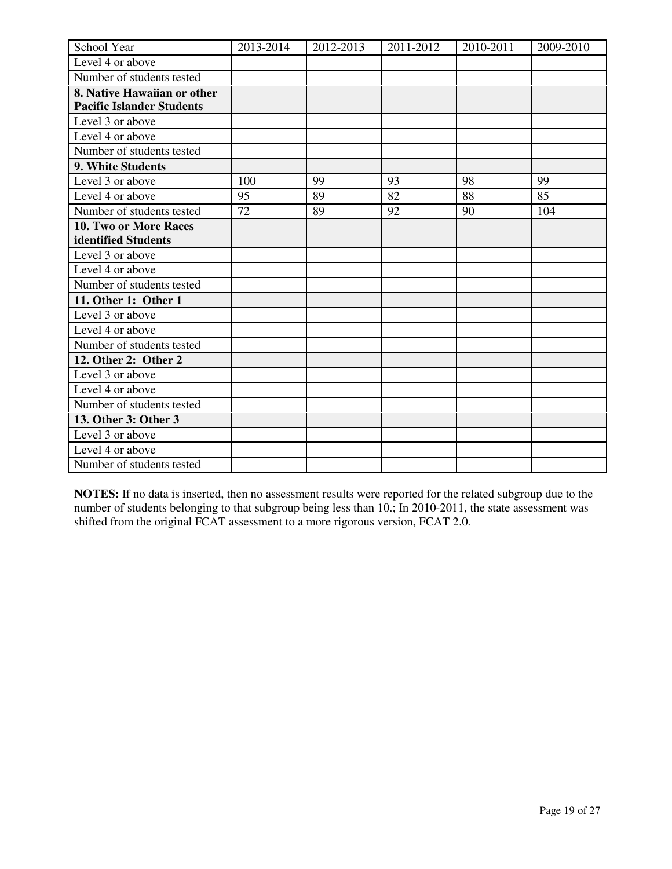| School Year                      | 2013-2014 | 2012-2013 | 2011-2012 | 2010-2011 | 2009-2010 |
|----------------------------------|-----------|-----------|-----------|-----------|-----------|
| Level 4 or above                 |           |           |           |           |           |
| Number of students tested        |           |           |           |           |           |
| 8. Native Hawaiian or other      |           |           |           |           |           |
| <b>Pacific Islander Students</b> |           |           |           |           |           |
| Level 3 or above                 |           |           |           |           |           |
| Level 4 or above                 |           |           |           |           |           |
| Number of students tested        |           |           |           |           |           |
| 9. White Students                |           |           |           |           |           |
| Level 3 or above                 | 100       | 99        | 93        | 98        | 99        |
| Level 4 or above                 | 95        | 89        | 82        | 88        | 85        |
| Number of students tested        | 72        | 89        | 92        | 90        | 104       |
| 10. Two or More Races            |           |           |           |           |           |
| identified Students              |           |           |           |           |           |
| Level 3 or above                 |           |           |           |           |           |
| Level 4 or above                 |           |           |           |           |           |
| Number of students tested        |           |           |           |           |           |
| 11. Other 1: Other 1             |           |           |           |           |           |
| Level 3 or above                 |           |           |           |           |           |
| Level 4 or above                 |           |           |           |           |           |
| Number of students tested        |           |           |           |           |           |
| 12. Other 2: Other 2             |           |           |           |           |           |
| Level 3 or above                 |           |           |           |           |           |
| Level 4 or above                 |           |           |           |           |           |
| Number of students tested        |           |           |           |           |           |
| 13. Other 3: Other 3             |           |           |           |           |           |
| Level 3 or above                 |           |           |           |           |           |
| Level 4 or above                 |           |           |           |           |           |
| Number of students tested        |           |           |           |           |           |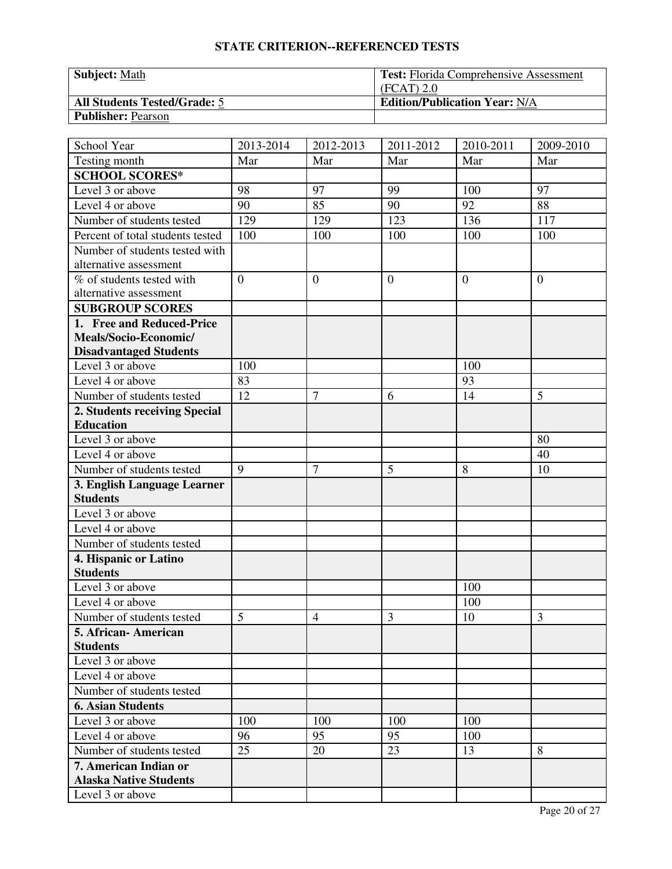| Subject: Math                       | <b>Test:</b> Florida Comprehensive Assessment |
|-------------------------------------|-----------------------------------------------|
|                                     | $(FCAT)$ 2.0                                  |
| <b>All Students Tested/Grade: 5</b> | <b>Edition/Publication Year: N/A</b>          |
| <b>Publisher: Pearson</b>           |                                               |

| School Year                      | 2013-2014      | 2012-2013      | 2011-2012      | 2010-2011 | 2009-2010      |
|----------------------------------|----------------|----------------|----------------|-----------|----------------|
| Testing month                    | Mar            | Mar            | Mar            | Mar       | Mar            |
| <b>SCHOOL SCORES*</b>            |                |                |                |           |                |
| Level 3 or above                 | 98             | 97             | 99             | 100       | 97             |
| Level 4 or above                 | 90             | 85             | 90             | 92        | 88             |
| Number of students tested        | 129            | 129            | 123            | 136       | 117            |
| Percent of total students tested | 100            | 100            | 100            | 100       | 100            |
| Number of students tested with   |                |                |                |           |                |
| alternative assessment           |                |                |                |           |                |
| % of students tested with        | $\overline{0}$ | $\overline{0}$ | $\overline{0}$ | $\theta$  | $\overline{0}$ |
| alternative assessment           |                |                |                |           |                |
| <b>SUBGROUP SCORES</b>           |                |                |                |           |                |
| 1. Free and Reduced-Price        |                |                |                |           |                |
| Meals/Socio-Economic/            |                |                |                |           |                |
| <b>Disadvantaged Students</b>    |                |                |                |           |                |
| Level 3 or above                 | 100            |                |                | 100       |                |
| Level 4 or above                 | 83             |                |                | 93        |                |
| Number of students tested        | 12             | $\overline{7}$ | 6              | 14        | 5              |
| 2. Students receiving Special    |                |                |                |           |                |
| <b>Education</b>                 |                |                |                |           |                |
| Level 3 or above                 |                |                |                |           | 80             |
| Level 4 or above                 |                |                |                |           | 40             |
| Number of students tested        | 9              | $\overline{7}$ | 5              | 8         | 10             |
| 3. English Language Learner      |                |                |                |           |                |
| <b>Students</b>                  |                |                |                |           |                |
| Level 3 or above                 |                |                |                |           |                |
| Level 4 or above                 |                |                |                |           |                |
| Number of students tested        |                |                |                |           |                |
| 4. Hispanic or Latino            |                |                |                |           |                |
| <b>Students</b>                  |                |                |                |           |                |
| Level 3 or above                 |                |                |                | 100       |                |
| Level 4 or above                 |                |                |                | 100       |                |
| Number of students tested        | 5              | $\overline{4}$ | 3              | 10        | 3              |
| 5. African-American              |                |                |                |           |                |
| <b>Students</b>                  |                |                |                |           |                |
| Level 3 or above                 |                |                |                |           |                |
| Level 4 or above                 |                |                |                |           |                |
| Number of students tested        |                |                |                |           |                |
| <b>6. Asian Students</b>         |                |                |                |           |                |
| Level 3 or above                 | 100            | 100            | 100            | 100       |                |
| Level 4 or above                 | 96             | 95             | 95             | 100       |                |
| Number of students tested        | 25             | 20             | 23             | 13        | 8              |
| 7. American Indian or            |                |                |                |           |                |
| <b>Alaska Native Students</b>    |                |                |                |           |                |
| Level 3 or above                 |                |                |                |           |                |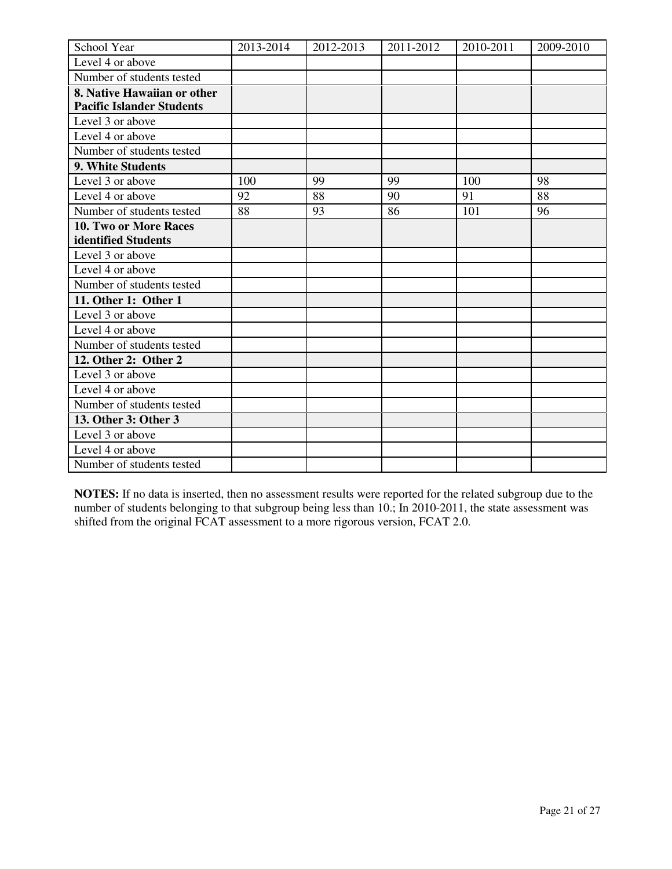| School Year                      | 2013-2014 | 2012-2013 | 2011-2012 | 2010-2011 | 2009-2010 |
|----------------------------------|-----------|-----------|-----------|-----------|-----------|
| Level 4 or above                 |           |           |           |           |           |
| Number of students tested        |           |           |           |           |           |
| 8. Native Hawaiian or other      |           |           |           |           |           |
| <b>Pacific Islander Students</b> |           |           |           |           |           |
| Level 3 or above                 |           |           |           |           |           |
| Level 4 or above                 |           |           |           |           |           |
| Number of students tested        |           |           |           |           |           |
| 9. White Students                |           |           |           |           |           |
| Level 3 or above                 | 100       | 99        | 99        | 100       | 98        |
| Level 4 or above                 | 92        | 88        | 90        | 91        | 88        |
| Number of students tested        | 88        | 93        | 86        | 101       | 96        |
| <b>10. Two or More Races</b>     |           |           |           |           |           |
| identified Students              |           |           |           |           |           |
| Level 3 or above                 |           |           |           |           |           |
| Level 4 or above                 |           |           |           |           |           |
| Number of students tested        |           |           |           |           |           |
| 11. Other 1: Other 1             |           |           |           |           |           |
| Level 3 or above                 |           |           |           |           |           |
| Level 4 or above                 |           |           |           |           |           |
| Number of students tested        |           |           |           |           |           |
| 12. Other 2: Other 2             |           |           |           |           |           |
| Level 3 or above                 |           |           |           |           |           |
| Level 4 or above                 |           |           |           |           |           |
| Number of students tested        |           |           |           |           |           |
| 13. Other 3: Other 3             |           |           |           |           |           |
| Level 3 or above                 |           |           |           |           |           |
| Level 4 or above                 |           |           |           |           |           |
| Number of students tested        |           |           |           |           |           |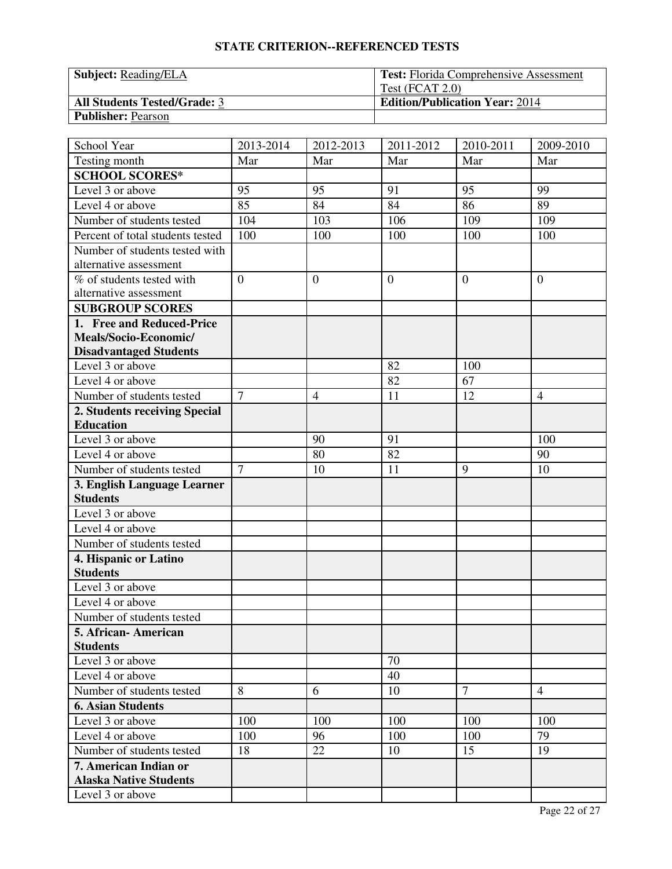| <b>Subject:</b> Reading/ELA         | <b>Test:</b> Florida Comprehensive Assessment |
|-------------------------------------|-----------------------------------------------|
|                                     | Test $(FCAT 2.0)$                             |
| <b>All Students Tested/Grade: 3</b> | <b>Edition/Publication Year: 2014</b>         |
| <b>Publisher: Pearson</b>           |                                               |

| School Year                      | 2013-2014      | 2012-2013        | 2011-2012      | 2010-2011    | 2009-2010      |
|----------------------------------|----------------|------------------|----------------|--------------|----------------|
| Testing month                    | Mar            | Mar              | Mar            | Mar          | Mar            |
| <b>SCHOOL SCORES*</b>            |                |                  |                |              |                |
| Level 3 or above                 | 95             | 95               | 91             | 95           | 99             |
| Level 4 or above                 | 85             | 84               | 84             | 86           | 89             |
| Number of students tested        | 104            | 103              | 106            | 109          | 109            |
| Percent of total students tested | 100            | 100              | 100            | 100          | 100            |
| Number of students tested with   |                |                  |                |              |                |
| alternative assessment           |                |                  |                |              |                |
| % of students tested with        | $\overline{0}$ | $\boldsymbol{0}$ | $\overline{0}$ | $\mathbf{0}$ | $\overline{0}$ |
| alternative assessment           |                |                  |                |              |                |
| <b>SUBGROUP SCORES</b>           |                |                  |                |              |                |
| 1. Free and Reduced-Price        |                |                  |                |              |                |
| Meals/Socio-Economic/            |                |                  |                |              |                |
| <b>Disadvantaged Students</b>    |                |                  |                |              |                |
| Level 3 or above                 |                |                  | 82             | 100          |                |
| Level 4 or above                 |                |                  | 82             | 67           |                |
| Number of students tested        | $\overline{7}$ | $\overline{4}$   | 11             | 12           | $\overline{4}$ |
| 2. Students receiving Special    |                |                  |                |              |                |
| <b>Education</b>                 |                |                  |                |              |                |
| Level 3 or above                 |                | 90               | 91             |              | 100            |
| Level 4 or above                 |                | 80               | 82             |              | 90             |
| Number of students tested        | $\overline{7}$ | 10               | 11             | 9            | 10             |
| 3. English Language Learner      |                |                  |                |              |                |
| <b>Students</b>                  |                |                  |                |              |                |
| Level 3 or above                 |                |                  |                |              |                |
| Level 4 or above                 |                |                  |                |              |                |
| Number of students tested        |                |                  |                |              |                |
| 4. Hispanic or Latino            |                |                  |                |              |                |
| <b>Students</b>                  |                |                  |                |              |                |
| Level 3 or above                 |                |                  |                |              |                |
| Level 4 or above                 |                |                  |                |              |                |
| Number of students tested        |                |                  |                |              |                |
| 5. African-American              |                |                  |                |              |                |
| <b>Students</b>                  |                |                  |                |              |                |
| Level 3 or above                 |                |                  | 70             |              |                |
| Level 4 or above                 |                |                  | 40             |              |                |
| Number of students tested        | 8              | 6                | 10             | $\tau$       | $\overline{4}$ |
| <b>6. Asian Students</b>         |                |                  |                |              |                |
| Level 3 or above                 | 100            | 100              | 100            | 100          | 100            |
| Level 4 or above                 | 100            | 96               | 100            | 100          | 79             |
| Number of students tested        | 18             | 22               | 10             | 15           | 19             |
| 7. American Indian or            |                |                  |                |              |                |
| <b>Alaska Native Students</b>    |                |                  |                |              |                |
| Level 3 or above                 |                |                  |                |              |                |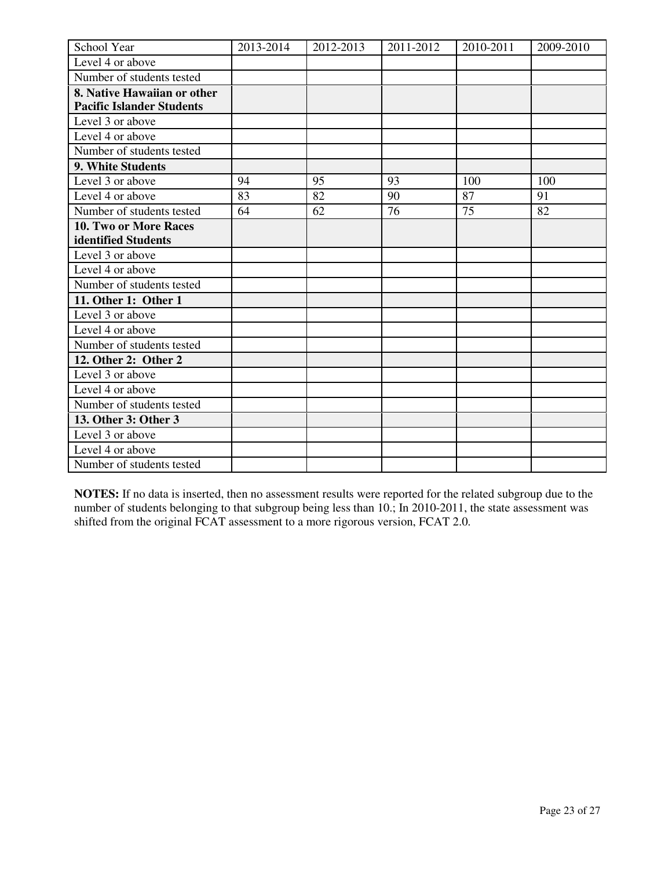| School Year                      | 2013-2014 | 2012-2013 | 2011-2012 | 2010-2011 | 2009-2010 |
|----------------------------------|-----------|-----------|-----------|-----------|-----------|
| Level 4 or above                 |           |           |           |           |           |
| Number of students tested        |           |           |           |           |           |
| 8. Native Hawaiian or other      |           |           |           |           |           |
| <b>Pacific Islander Students</b> |           |           |           |           |           |
| Level 3 or above                 |           |           |           |           |           |
| Level 4 or above                 |           |           |           |           |           |
| Number of students tested        |           |           |           |           |           |
| 9. White Students                |           |           |           |           |           |
| Level 3 or above                 | 94        | 95        | 93        | 100       | 100       |
| Level 4 or above                 | 83        | 82        | 90        | 87        | 91        |
| Number of students tested        | 64        | 62        | 76        | 75        | 82        |
| 10. Two or More Races            |           |           |           |           |           |
| identified Students              |           |           |           |           |           |
| Level 3 or above                 |           |           |           |           |           |
| Level 4 or above                 |           |           |           |           |           |
| Number of students tested        |           |           |           |           |           |
| 11. Other 1: Other 1             |           |           |           |           |           |
| Level 3 or above                 |           |           |           |           |           |
| Level 4 or above                 |           |           |           |           |           |
| Number of students tested        |           |           |           |           |           |
| 12. Other 2: Other 2             |           |           |           |           |           |
| Level 3 or above                 |           |           |           |           |           |
| Level 4 or above                 |           |           |           |           |           |
| Number of students tested        |           |           |           |           |           |
| 13. Other 3: Other 3             |           |           |           |           |           |
| Level 3 or above                 |           |           |           |           |           |
| Level 4 or above                 |           |           |           |           |           |
| Number of students tested        |           |           |           |           |           |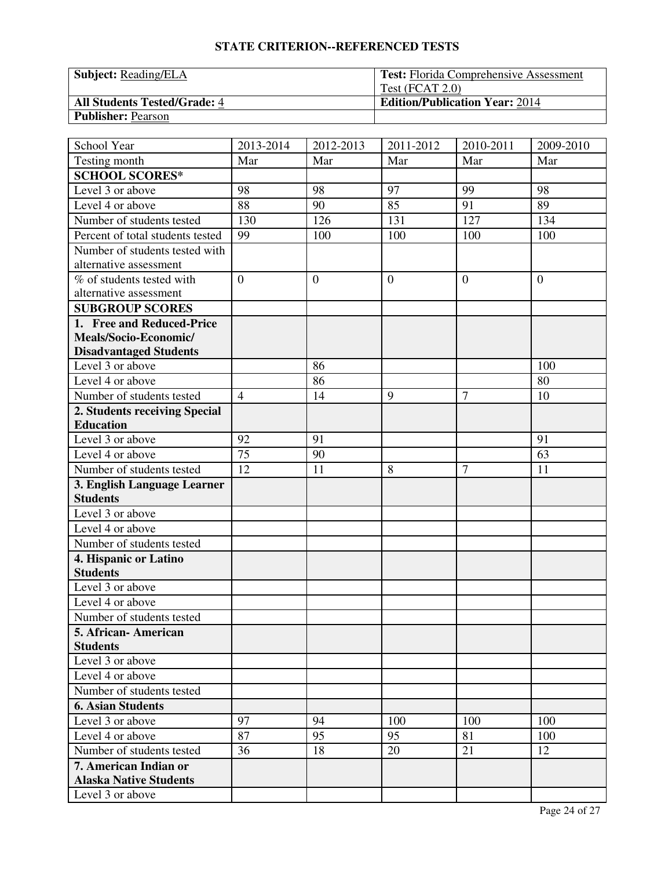| <b>Subject:</b> Reading/ELA         | <b>Test:</b> Florida Comprehensive Assessment |
|-------------------------------------|-----------------------------------------------|
|                                     | Test $(FCAT 2.0)$                             |
| <b>All Students Tested/Grade: 4</b> | <b>Edition/Publication Year: 2014</b>         |
| <b>Publisher: Pearson</b>           |                                               |

| School Year                            | 2013-2014      | 2012-2013        | 2011-2012        | 2010-2011      | 2009-2010      |
|----------------------------------------|----------------|------------------|------------------|----------------|----------------|
| Testing month                          | Mar            | Mar              | Mar              | Mar            | Mar            |
| <b>SCHOOL SCORES*</b>                  |                |                  |                  |                |                |
| Level 3 or above                       | 98             | 98               | 97               | 99             | 98             |
| Level $\overline{4}$ or above          | 88             | 90               | 85               | 91             | 89             |
| Number of students tested              | 130            | 126              | 131              | 127            | 134            |
| Percent of total students tested       | 99             | 100              | 100              | 100            | 100            |
| Number of students tested with         |                |                  |                  |                |                |
| alternative assessment                 |                |                  |                  |                |                |
| % of students tested with              | $\overline{0}$ | $\boldsymbol{0}$ | $\boldsymbol{0}$ | $\mathbf{0}$   | $\overline{0}$ |
| alternative assessment                 |                |                  |                  |                |                |
| <b>SUBGROUP SCORES</b>                 |                |                  |                  |                |                |
| 1. Free and Reduced-Price              |                |                  |                  |                |                |
| Meals/Socio-Economic/                  |                |                  |                  |                |                |
| <b>Disadvantaged Students</b>          |                |                  |                  |                |                |
| Level 3 or above                       |                | 86               |                  |                | 100            |
| Level 4 or above                       |                | 86               |                  |                | 80             |
| Number of students tested              | $\overline{4}$ | 14               | 9                | $\overline{7}$ | 10             |
| 2. Students receiving Special          |                |                  |                  |                |                |
| <b>Education</b>                       |                |                  |                  |                |                |
| Level 3 or above                       | 92             | 91               |                  |                | 91             |
| Level 4 or above                       | 75             | 90               |                  |                | 63             |
| Number of students tested              | 12             | 11               | 8                | $\overline{7}$ | 11             |
| 3. English Language Learner            |                |                  |                  |                |                |
| <b>Students</b>                        |                |                  |                  |                |                |
| Level 3 or above                       |                |                  |                  |                |                |
| Level 4 or above                       |                |                  |                  |                |                |
| Number of students tested              |                |                  |                  |                |                |
| 4. Hispanic or Latino                  |                |                  |                  |                |                |
| <b>Students</b>                        |                |                  |                  |                |                |
| Level 3 or above                       |                |                  |                  |                |                |
| Level 4 or above                       |                |                  |                  |                |                |
| Number of students tested              |                |                  |                  |                |                |
| 5. African-American<br><b>Students</b> |                |                  |                  |                |                |
| Level 3 or above                       |                |                  |                  |                |                |
| Level 4 or above                       |                |                  |                  |                |                |
| Number of students tested              |                |                  |                  |                |                |
| <b>6. Asian Students</b>               |                |                  |                  |                |                |
| Level 3 or above                       | 97             | 94               | 100              | 100            | 100            |
| Level 4 or above                       | 87             | 95               | 95               |                | 100            |
| Number of students tested              |                | 18               |                  | 81<br>21       | 12             |
| 7. American Indian or                  | 36             |                  | 20               |                |                |
| <b>Alaska Native Students</b>          |                |                  |                  |                |                |
| Level 3 or above                       |                |                  |                  |                |                |
|                                        |                |                  |                  |                |                |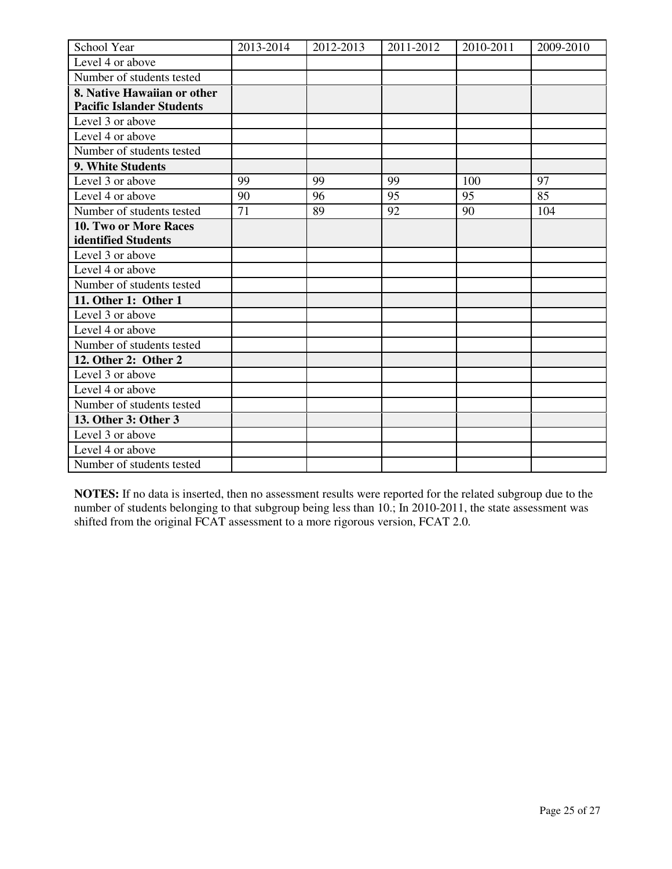| School Year                      | 2013-2014 | 2012-2013 | 2011-2012 | 2010-2011 | 2009-2010 |
|----------------------------------|-----------|-----------|-----------|-----------|-----------|
| Level 4 or above                 |           |           |           |           |           |
| Number of students tested        |           |           |           |           |           |
| 8. Native Hawaiian or other      |           |           |           |           |           |
| <b>Pacific Islander Students</b> |           |           |           |           |           |
| Level 3 or above                 |           |           |           |           |           |
| Level 4 or above                 |           |           |           |           |           |
| Number of students tested        |           |           |           |           |           |
| 9. White Students                |           |           |           |           |           |
| Level 3 or above                 | 99        | 99        | 99        | 100       | 97        |
| Level 4 or above                 | 90        | 96        | 95        | 95        | 85        |
| Number of students tested        | 71        | 89        | 92        | 90        | 104       |
| 10. Two or More Races            |           |           |           |           |           |
| identified Students              |           |           |           |           |           |
| Level 3 or above                 |           |           |           |           |           |
| Level 4 or above                 |           |           |           |           |           |
| Number of students tested        |           |           |           |           |           |
| 11. Other 1: Other 1             |           |           |           |           |           |
| Level 3 or above                 |           |           |           |           |           |
| Level 4 or above                 |           |           |           |           |           |
| Number of students tested        |           |           |           |           |           |
| 12. Other 2: Other 2             |           |           |           |           |           |
| Level 3 or above                 |           |           |           |           |           |
| Level 4 or above                 |           |           |           |           |           |
| Number of students tested        |           |           |           |           |           |
| 13. Other 3: Other 3             |           |           |           |           |           |
| Level 3 or above                 |           |           |           |           |           |
| Level 4 or above                 |           |           |           |           |           |
| Number of students tested        |           |           |           |           |           |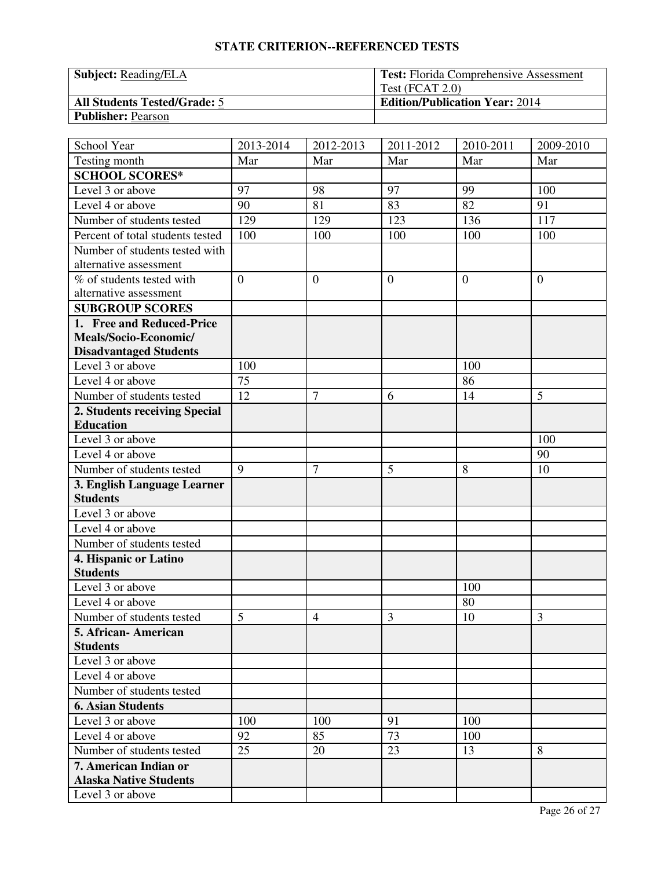| <b>Subject:</b> Reading/ELA         | <b>Test:</b> Florida Comprehensive Assessment |
|-------------------------------------|-----------------------------------------------|
|                                     | Test $(FCAT 2.0)$                             |
| <b>All Students Tested/Grade: 5</b> | <b>Edition/Publication Year: 2014</b>         |
| <b>Publisher: Pearson</b>           |                                               |

| School Year                                         | 2013-2014      | 2012-2013        | 2011-2012      | 2010-2011 | 2009-2010      |
|-----------------------------------------------------|----------------|------------------|----------------|-----------|----------------|
| Testing month                                       | Mar            | Mar              | Mar            | Mar       | Mar            |
| <b>SCHOOL SCORES*</b>                               |                |                  |                |           |                |
| Level 3 or above                                    | 97             | 98               | 97             | 99        | 100            |
| Level 4 or above                                    | 90             | 81               | 83             | 82        | 91             |
| Number of students tested                           | 129            | 129              | 123            | 136       | 117            |
| Percent of total students tested                    | 100            | 100              | 100            | 100       | 100            |
| Number of students tested with                      |                |                  |                |           |                |
| alternative assessment                              |                |                  |                |           |                |
| % of students tested with<br>alternative assessment | $\overline{0}$ | $\boldsymbol{0}$ | $\overline{0}$ | $\theta$  | $\overline{0}$ |
| <b>SUBGROUP SCORES</b>                              |                |                  |                |           |                |
| 1. Free and Reduced-Price                           |                |                  |                |           |                |
| Meals/Socio-Economic/                               |                |                  |                |           |                |
| <b>Disadvantaged Students</b>                       |                |                  |                |           |                |
| Level 3 or above                                    | 100            |                  |                | 100       |                |
| Level 4 or above                                    | 75             |                  |                | 86        |                |
| Number of students tested                           | 12             | $\overline{7}$   | 6              | 14        | 5              |
| 2. Students receiving Special                       |                |                  |                |           |                |
| <b>Education</b>                                    |                |                  |                |           |                |
| Level 3 or above                                    |                |                  |                |           | 100            |
| Level 4 or above                                    |                |                  |                |           | 90             |
| Number of students tested                           | 9              | $\overline{7}$   | 5              | 8         | 10             |
| 3. English Language Learner                         |                |                  |                |           |                |
| <b>Students</b>                                     |                |                  |                |           |                |
| Level 3 or above                                    |                |                  |                |           |                |
| Level 4 or above                                    |                |                  |                |           |                |
| Number of students tested                           |                |                  |                |           |                |
| 4. Hispanic or Latino                               |                |                  |                |           |                |
| <b>Students</b>                                     |                |                  |                |           |                |
| Level 3 or above                                    |                |                  |                | 100       |                |
| Level 4 or above                                    |                |                  |                | 80        |                |
| Number of students tested                           | 5              | $\overline{4}$   | 3              | 10        | 3              |
| 5. African-American                                 |                |                  |                |           |                |
| <b>Students</b>                                     |                |                  |                |           |                |
| Level 3 or above                                    |                |                  |                |           |                |
| Level 4 or above                                    |                |                  |                |           |                |
| Number of students tested                           |                |                  |                |           |                |
| <b>6. Asian Students</b>                            |                |                  |                |           |                |
| Level 3 or above                                    | 100            | 100              | 91             | 100       |                |
| Level 4 or above                                    | 92             | 85               | 73             | 100       |                |
| Number of students tested                           | 25             | 20               | 23             | 13        | 8              |
| 7. American Indian or                               |                |                  |                |           |                |
| <b>Alaska Native Students</b>                       |                |                  |                |           |                |
| Level 3 or above                                    |                |                  |                |           |                |